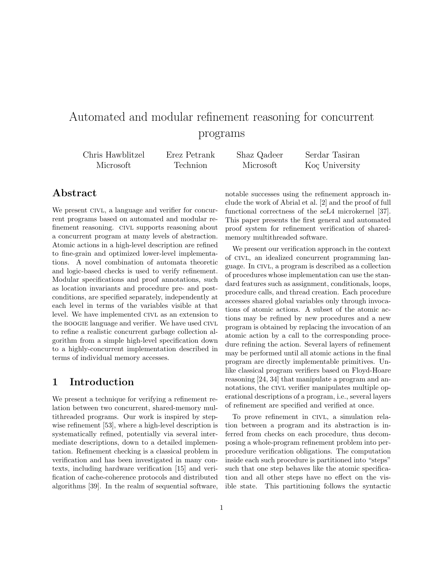# Automated and modular refinement reasoning for concurrent programs

| Chris Hawblitzel | Erez Petrank    | Shaz Qadeer | Serdar Tasiran |
|------------------|-----------------|-------------|----------------|
| Microsoft        | <b>Technion</b> | Microsoft   | Koç University |

## Abstract

We present CIVL, a language and verifier for concurrent programs based on automated and modular refinement reasoning. CIVL supports reasoning about a concurrent program at many levels of abstraction. Atomic actions in a high-level description are refined to fine-grain and optimized lower-level implementations. A novel combination of automata theoretic and logic-based checks is used to verify refinement. Modular specifications and proof annotations, such as location invariants and procedure pre- and postconditions, are specified separately, independently at each level in terms of the variables visible at that level. We have implemented CIVL as an extension to the BOOGIE language and verifier. We have used CIVL to refine a realistic concurrent garbage collection algorithm from a simple high-level specification down to a highly-concurrent implementation described in terms of individual memory accesses.

### 1 Introduction

We present a technique for verifying a refinement relation between two concurrent, shared-memory multithreaded programs. Our work is inspired by stepwise refinement [53], where a high-level description is systematically refined, potentially via several intermediate descriptions, down to a detailed implementation. Refinement checking is a classical problem in verification and has been investigated in many contexts, including hardware verification [15] and verification of cache-coherence protocols and distributed algorithms [39]. In the realm of sequential software, notable successes using the refinement approach include the work of Abrial et al. [2] and the proof of full functional correctness of the seL4 microkernel [37]. This paper presents the first general and automated proof system for refinement verification of sharedmemory multithreaded software.

We present our verification approach in the context of civl, an idealized concurrent programming language. In civl, a program is described as a collection of procedures whose implementation can use the standard features such as assignment, conditionals, loops, procedure calls, and thread creation. Each procedure accesses shared global variables only through invocations of atomic actions. A subset of the atomic actions may be refined by new procedures and a new program is obtained by replacing the invocation of an atomic action by a call to the corresponding procedure refining the action. Several layers of refinement may be performed until all atomic actions in the final program are directly implementable primitives. Unlike classical program verifiers based on Floyd-Hoare reasoning [24, 34] that manipulate a program and annotations, the CIVL verifier manipulates multiple operational descriptions of a program, i.e., several layers of refinement are specified and verified at once.

To prove refinement in CIVL, a simulation relation between a program and its abstraction is inferred from checks on each procedure, thus decomposing a whole-program refinement problem into perprocedure verification obligations. The computation inside each such procedure is partitioned into "steps" such that one step behaves like the atomic specification and all other steps have no effect on the visible state. This partitioning follows the syntactic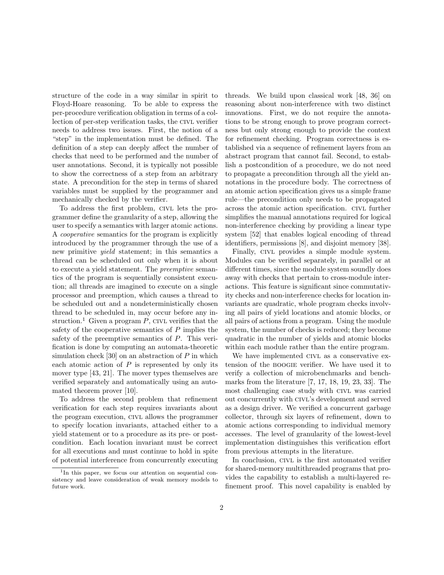structure of the code in a way similar in spirit to Floyd-Hoare reasoning. To be able to express the per-procedure verification obligation in terms of a collection of per-step verification tasks, the CIVL verifier needs to address two issues. First, the notion of a "step" in the implementation must be defined. The definition of a step can deeply affect the number of checks that need to be performed and the number of user annotations. Second, it is typically not possible to show the correctness of a step from an arbitrary state. A precondition for the step in terms of shared variables must be supplied by the programmer and mechanically checked by the verifier.

To address the first problem, CIVL lets the programmer define the granularity of a step, allowing the user to specify a semantics with larger atomic actions. A *cooperative* semantics for the program is explicitly introduced by the programmer through the use of a new primitive *yield* statement; in this semantics a thread can be scheduled out only when it is about to execute a yield statement. The *preemptive* semantics of the program is sequentially consistent execution; all threads are imagined to execute on a single processor and preemption, which causes a thread to be scheduled out and a nondeterministically chosen thread to be scheduled in, may occur before any instruction.<sup>1</sup> Given a program  $P$ , CIVL verifies that the safety of the cooperative semantics of *P* implies the safety of the preemptive semantics of *P*. This verification is done by computing an automata-theoretic simulation check [30] on an abstraction of *P* in which each atomic action of *P* is represented by only its mover type [43, 21]. The mover types themselves are verified separately and automatically using an automated theorem prover [10].

To address the second problem that refinement verification for each step requires invariants about the program execution, CIVL allows the programmer to specify location invariants, attached either to a yield statement or to a procedure as its pre- or postcondition. Each location invariant must be correct for all executions and must continue to hold in spite of potential interference from concurrently executing threads. We build upon classical work [48, 36] on reasoning about non-interference with two distinct innovations. First, we do not require the annotations to be strong enough to prove program correctness but only strong enough to provide the context for refinement checking. Program correctness is established via a sequence of refinement layers from an abstract program that cannot fail. Second, to establish a postcondition of a procedure, we do not need to propagate a precondition through all the yield annotations in the procedure body. The correctness of an atomic action specification gives us a simple frame rule—the precondition only needs to be propagated across the atomic action specification. CIVL further simplifies the manual annotations required for logical non-interference checking by providing a linear type system [52] that enables logical encoding of thread identifiers, permissions [8], and disjoint memory [38].

Finally, CIVL provides a simple module system. Modules can be verified separately, in parallel or at different times, since the module system soundly does away with checks that pertain to cross-module interactions. This feature is significant since commutativity checks and non-interference checks for location invariants are quadratic, whole program checks involving all pairs of yield locations and atomic blocks, or all pairs of actions from a program. Using the module system, the number of checks is reduced; they become quadratic in the number of yields and atomic blocks within each module rather than the entire program.

We have implemented CIVL as a conservative extension of the boogie verifier. We have used it to verify a collection of microbenchmarks and benchmarks from the literature [7, 17, 18, 19, 23, 33]. The most challenging case study with CIVL was carried out concurrently with CIVL's development and served as a design driver. We verified a concurrent garbage collector, through six layers of refinement, down to atomic actions corresponding to individual memory accesses. The level of granularity of the lowest-level implementation distinguishes this verification effort from previous attempts in the literature.

In conclusion, CIVL is the first automated verifier for shared-memory multithreaded programs that provides the capability to establish a multi-layered refinement proof. This novel capability is enabled by

<sup>&</sup>lt;sup>1</sup>In this paper, we focus our attention on sequential consistency and leave consideration of weak memory models to future work.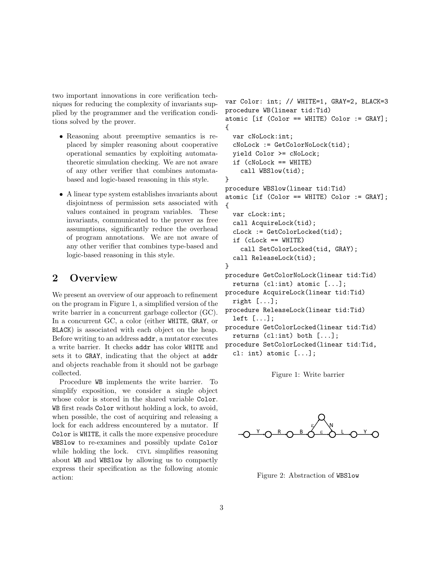two important innovations in core verification techniques for reducing the complexity of invariants supplied by the programmer and the verification conditions solved by the prover.

- *•* Reasoning about preemptive semantics is replaced by simpler reasoning about cooperative operational semantics by exploiting automatatheoretic simulation checking. We are not aware of any other verifier that combines automatabased and logic-based reasoning in this style.
- *•* A linear type system establishes invariants about disjointness of permission sets associated with values contained in program variables. These invariants, communicated to the prover as free assumptions, significantly reduce the overhead of program annotations. We are not aware of any other verifier that combines type-based and logic-based reasoning in this style.

### 2 Overview

We present an overview of our approach to refinement on the program in Figure 1, a simplified version of the write barrier in a concurrent garbage collector (GC). In a concurrent GC, a color (either WHITE, GRAY, or BLACK) is associated with each object on the heap. Before writing to an address addr, a mutator executes a write barrier. It checks addr has color WHITE and sets it to GRAY, indicating that the object at addr and objects reachable from it should not be garbage collected.

Procedure WB implements the write barrier. To simplify exposition, we consider a single object whose color is stored in the shared variable Color. WB first reads Color without holding a lock, to avoid, when possible, the cost of acquiring and releasing a lock for each address encountered by a mutator. If Color is WHITE, it calls the more expensive procedure WBSlow to re-examines and possibly update Color while holding the lock. CIVL simplifies reasoning about WB and WBSlow by allowing us to compactly express their specification as the following atomic action:

```
var Color: int; // WHITE=1, GRAY=2, BLACK=3
procedure WB(linear tid:Tid)
atomic [if (Color == WHITE) Color := GRAY];
{
  var cNoLock:int;
  cNoLock := GetColorNoLock(tid);
  yield Color >= cNoLock;
  if (cNoLock == WHITE)
    call WBSlow(tid);
}
procedure WBSlow(linear tid:Tid)
atomic [if (Color == WHITE) Color := GRAY];
{
  var cLock:int;
  call AcquireLock(tid);
  cLock := GetColorLocked(tid);
  if (cLock == WHITE)
    call SetColorLocked(tid, GRAY);
  call ReleaseLock(tid);
}
procedure GetColorNoLock(linear tid:Tid)
  returns (cl:int) atomic [...];
procedure AcquireLock(linear tid:Tid)
  right [...];
procedure ReleaseLock(linear tid:Tid)
  left [...];
procedure GetColorLocked(linear tid:Tid)
  returns (cl:int) both [...];
procedure SetColorLocked(linear tid:Tid,
  cl: int) atomic [...];
```




Figure 2: Abstraction of WBSlow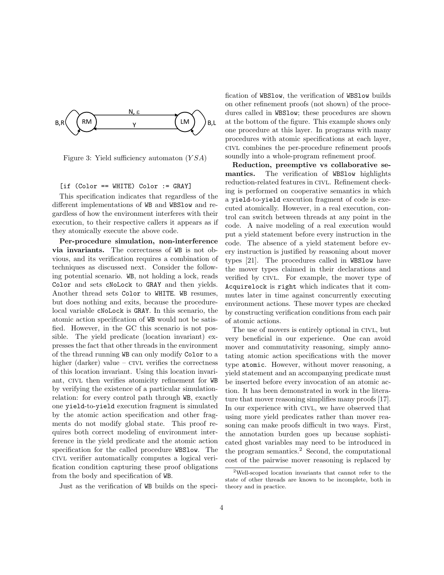

Figure 3: Yield sufficiency automaton (*YSA*)

#### [if (Color == WHITE) Color := GRAY]

This specification indicates that regardless of the different implementations of WB and WBSlow and regardless of how the environment interferes with their execution, to their respective callers it appears as if they atomically execute the above code.

Per-procedure simulation, non-interference via invariants. The correctness of WB is not obvious, and its verification requires a combination of techniques as discussed next. Consider the following potential scenario. WB, not holding a lock, reads Color and sets cNoLock to GRAY and then yields. Another thread sets Color to WHITE. WB resumes, but does nothing and exits, because the procedurelocal variable cNoLock is GRAY. In this scenario, the atomic action specification of WB would not be satisfied. However, in the GC this scenario is not possible. The yield predicate (location invariant) expresses the fact that other threads in the environment of the thread running WB can only modify Color to a higher (darker) value  $-$  CIVL verifies the correctness of this location invariant. Using this location invariant, CIVL then verifies atomicity refinement for WB by verifying the existence of a particular simulationrelation: for every control path through WB, exactly one yield-to-yield execution fragment is simulated by the atomic action specification and other fragments do not modify global state. This proof requires both correct modeling of environment interference in the yield predicate and the atomic action specification for the called procedure WBSlow. The civl verifier automatically computes a logical verification condition capturing these proof obligations from the body and specification of WB.

Just as the verification of WB builds on the speci-

fication of WBSlow, the verification of WBSlow builds on other refinement proofs (not shown) of the procedures called in WBSlow; these procedures are shown at the bottom of the figure. This example shows only one procedure at this layer. In programs with many procedures with atomic specifications at each layer, civl combines the per-procedure refinement proofs soundly into a whole-program refinement proof.

Reduction, preemptive vs collaborative semantics. The verification of WBSlow highlights reduction-related features in CIVL. Refinement checking is performed on cooperative semantics in which a yield-to-yield execution fragment of code is executed atomically. However, in a real execution, control can switch between threads at any point in the code. A naive modeling of a real execution would put a yield statement before every instruction in the code. The absence of a yield statement before every instruction is justified by reasoning about mover types [21]. The procedures called in WBSlow have the mover types claimed in their declarations and verified by civl. For example, the mover type of Acquirelock is right which indicates that it commutes later in time against concurrently executing environment actions. These mover types are checked by constructing verification conditions from each pair of atomic actions.

The use of movers is entirely optional in CIVL, but very beneficial in our experience. One can avoid mover and commutativity reasoning, simply annotating atomic action specifications with the mover type atomic. However, without mover reasoning, a yield statement and an accompanying predicate must be inserted before every invocation of an atomic action. It has been demonstrated in work in the literature that mover reasoning simplifies many proofs [17]. In our experience with CIVL, we have observed that using more yield predicates rather than mover reasoning can make proofs difficult in two ways. First, the annotation burden goes up because sophisticated ghost variables may need to be introduced in the program semantics.<sup>2</sup> Second, the computational cost of the pairwise mover reasoning is replaced by

<sup>2</sup>Well-scoped location invariants that cannot refer to the state of other threads are known to be incomplete, both in theory and in practice.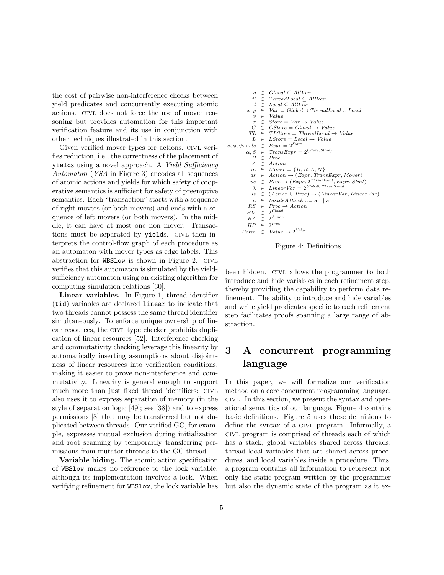the cost of pairwise non-interference checks between yield predicates and concurrently executing atomic actions. civl does not force the use of mover reasoning but provides automation for this important verification feature and its use in conjunction with other techniques illustrated in this section.

Given verified mover types for actions, CIVL verifies reduction, i.e., the correctness of the placement of yields using a novel approach. A *Yield Suciency Automaton* (*YSA* in Figure 3) encodes all sequences of atomic actions and yields for which safety of cooperative semantics is sufficient for safety of preemptive semantics. Each "transaction" starts with a sequence of right movers (or both movers) and ends with a sequence of left movers (or both movers). In the middle, it can have at most one non mover. Transactions must be separated by yields. CIVL then interprets the control-flow graph of each procedure as an automaton with mover types as edge labels. This abstraction for WBS1ow is shown in Figure 2. CIVL verifies that this automaton is simulated by the yieldsufficiency automaton using an existing algorithm for computing simulation relations [30].

Linear variables. In Figure 1, thread identifier (tid) variables are declared linear to indicate that two threads cannot possess the same thread identifier simultaneously. To enforce unique ownership of linear resources, the CIVL type checker prohibits duplication of linear resources [52]. Interference checking and commutativity checking leverage this linearity by automatically inserting assumptions about disjointness of linear resources into verification conditions, making it easier to prove non-interference and commutativity. Linearity is general enough to support much more than just fixed thread identifiers: CIVL also uses it to express separation of memory (in the style of separation logic [49]; see [38]) and to express permissions [8] that may be transferred but not duplicated between threads. Our verified GC, for example, expresses mutual exclusion during initialization and root scanning by temporarily transferring permissions from mutator threads to the GC thread.

Variable hiding. The atomic action specification of WBSlow makes no reference to the lock variable, although its implementation involves a lock. When verifying refinement for WBSlow, the lock variable has

```
g \in Global \subseteq AllVar<br>
tl \in ThreadLocal \subseteq AllVarl \in Local \subseteq AllVar<br>
x, y \in Var = Global \cupy \in Var = Global \cup ThreadLocal \cup Local<br>v \in Value\begin{array}{rcl} v & \in & Value \\ \sigma & \in & Store \end{array}\sigma \in Store = Var \rightarrow Value<br>
G \in GStore = Global \rightarrow VG \in GStore = Global \rightarrow Value<br>
TL \in TLStore = ThreadLocal -TL \in TLStore = ThreadLocal \rightarrow Value<br>L \in LStore = Local \rightarrow ValueLStore = Local \rightarrow Value<br>Expr = 2^{Store}\begin{array}{rcl} e,\phi,\psi,\rho, \,le\; &\in\\ \alpha,\beta \end{array}\beta \in TransExpr = 2^{(Store,Store)}<br>
P \in ProcP \in Proc<br>A \in Actio
                    A \in Action<br>
m \in Moverm \in Mover = {B, R, L, N}<br>
as \in Action \rightarrow (Expr, Tranas \in Action \rightarrow (Expr, TransExpr, Mover)<br>
ps \in Proc \rightarrow (Expr, 2<sup>ThreadLocal</sup>, Expr, Stmt)
                      \lambda \in LinearVar = 2^{\text{Global} \cup \text{ThreadLocal}}ls \in (Action \cup Proc) \rightarrow (LinearVar, LinearVar)<br>
a \in InsideABlock ::= a^{+} | a^{-}a \in InsideABlock ::= a^+ | a^-<br>RS \in Proc \rightarrow ActionRS 2 Proc * Action
                H V \in 2^{Global}<br>
HA \in 2^{Action}HA \in 2^{Action}HP \in 2^{Proc}\textit{Perm} \in Value \rightarrow 2^{\textit{Value}}
```
Figure 4: Definitions

been hidden. CIVL allows the programmer to both introduce and hide variables in each refinement step, thereby providing the capability to perform data refinement. The ability to introduce and hide variables and write yield predicates specific to each refinement step facilitates proofs spanning a large range of abstraction.

## 3 A concurrent programming language

In this paper, we will formalize our verification method on a core concurrent programming language, civl. In this section, we present the syntax and operational semantics of our language. Figure 4 contains basic definitions. Figure 5 uses these definitions to define the syntax of a CIVL program. Informally, a civl program is comprised of threads each of which has a stack, global variables shared across threads, thread-local variables that are shared across procedures, and local variables inside a procedure. Thus, a program contains all information to represent not only the static program written by the programmer but also the dynamic state of the program as it ex-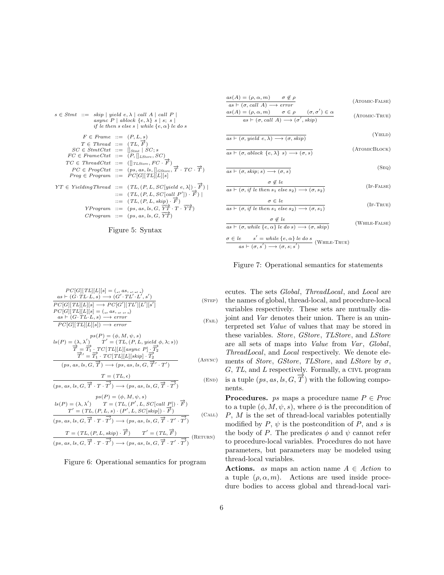$$
\frac{as(A) = (\rho, \alpha, m) \qquad \sigma \notin \rho}{as \vdash (\sigma, call \ A) \longrightarrow error} \tag{Aromic-FAISE}
$$

$$
\frac{as(A) = (\rho, \alpha, m) \qquad \sigma \in \rho \qquad (\sigma, \sigma') \in \alpha}{as \vdash (\sigma, call \ A) \longrightarrow (\sigma', skip)} \tag{ATOMIC-TRUE}
$$

$$
\overline{as \vdash (\sigma, yield \ e, \lambda) \longrightarrow (\sigma, skip)}
$$
 (YIELD)

$$
\overline{as \vdash (\sigma, \text{ \textit{block} \{e, \lambda\} \ s) \longrightarrow (\sigma, s) }} \tag{AromicBlock}
$$

$$
\overline{as \vdash (\sigma, skip; s) \longrightarrow (\sigma, s)}
$$
 (Seq)

$$
\sigma \notin le
$$
  
as  $\vdash (\sigma, if \text{ } le \text{ } then \text{ } s_1 \text{ } else \text{ } s_2) \longrightarrow (\sigma, s_2)$  (IF-FALSE)

$$
\sigma \in le
$$
  
as  $\vdash (\sigma, if \text{ } le \text{ then } s_1 \text{ } else \text{ } s_2) \longrightarrow (\sigma, s_1)$  (IF-TRUE)

$$
\overline{as \vdash (\sigma, \text{while } \{e, \alpha\} \text{ le } do s) \rightarrow (\sigma, \text{skip})}
$$
 (WHILE-FALES)  
\n
$$
\underline{\sigma \in le \quad s' = \text{while } \{e, \alpha\} \text{ le } do s}
$$
 (WHILE-TRUE)  
\n
$$
\underline{as \vdash (\sigma, s') \rightarrow (\sigma, s; s')}
$$
 (WHILE-TRUE)

 $as \vdash (\sigma, s') \longrightarrow (\sigma, s; s')$ 

 $\sigma \not\in \mathit{le}$ 

#### Figure 7: Operational semantics for statements

ecutes. The sets *Global*, *ThreadLocal*, and *Local* are the names of global, thread-local, and procedure-local variables respectively. These sets are mutually disjoint and *Var* denotes their union. There is an uninterpreted set *Value* of values that may be stored in these variables. *Store*, *GStore*, *TLStore*, and *LStore* are all sets of maps into *Value* from *Var*, *Global*, *ThreadLocal*, and *Local* respectively. We denote elements of *Store*, *GStore*, *TLStore*, and *LStore* by  $\sigma$ , *G*, *TL*, and *L* respectively. Formally, a CIVL program is a tuple  $(ps, as, ls, G, \overrightarrow{T})$  with the following components.

**Procedures.** *ps* maps a procedure name  $P \in Proc$ to a tuple  $(\phi, M, \psi, s)$ , where  $\phi$  is the precondition of *P*, *M* is the set of thread-local variables potentially modified by  $P$ ,  $\psi$  is the postcondition of  $P$ , and  $s$  is the body of *P*. The predicates  $\phi$  and  $\psi$  cannot refer to procedure-local variables. Procedures do not have parameters, but parameters may be modeled using thread-local variables.

Actions. *as* maps an action name  $A \in Action$  to a tuple  $(\rho, \alpha, m)$ . Actions are used inside procedure bodies to access global and thread-local vari-

$$
s \in Stmt \ ::= \ skip \mid yield \ e, \lambda \mid call \ A \mid call \ P \mid
$$
  
\n
$$
async \ P \mid ablock \{e, \lambda\} \ s \mid s; \ s \mid
$$
  
\nif  $le$  then  $s$  else  $s \mid while \{e, \alpha\} \ le \ do \ s$   
\n
$$
F \in Frame \ ::= \ (P, L, s)
$$
  
\n
$$
T \in Thread \ ::= \ (TL, \overrightarrow{F})
$$
  
\n
$$
SC \in StmtCtxt \ ::= \ [Stmt \mid SC; \ s
$$
  
\n
$$
FC \in FrameCtxt \ ::= \ [P, []_{LStore}, SC)
$$
  
\n
$$
TC \in ThreadCtxt \ ::= \ [0, \ s, s, ls, []_{GStore}, \overrightarrow{T} \cdot TC \cdot \overrightarrow{T})
$$
  
\n
$$
PC \in Program \ ::= \ PC[G][TL][L][s]
$$
  
\n
$$
YT \in YieldingThread \ ::= \ (TL, (P, L, SC[yield \ e, \lambda]) \cdot \overrightarrow{F}) \ |
$$
  
\n
$$
::= (TL, (P, L, SC[call \ P')] \cdot \overrightarrow{F})
$$
  
\n
$$
::= (TL, (P, L, skip) \cdot \overrightarrow{F})
$$
  
\n
$$
YProgram \ ::= \ (ps, as, ls, G, \overrightarrow{YT} \cdot \overrightarrow{VT})
$$
  
\n
$$
CProgram \ ::= \ (ps, as, ls, G, \overrightarrow{YT})
$$



$$
PC[G][TL][L][s] = (., as, -, -, -),
$$
  
\n
$$
as \vdash (G \cdot TL \cdot L, s) \longrightarrow (G' \cdot TL' \cdot L', s')
$$
  
\n
$$
PC[G][TL][L][s] \longrightarrow PC[G'][TL'][s']
$$
  
\n
$$
PC[G][TL][L][s] = (., as, -, -, -)
$$
  
\n
$$
as \vdash (G \cdot TL \cdot L, s) \longrightarrow error
$$
  
\n
$$
PC[G][TL][L][s]) \longrightarrow error
$$
  
\n(FAIL)

$$
ps(P) = (\phi, M, \psi, s)
$$
  
\n
$$
ls(P) = (\lambda, \lambda') \qquad T' = (TL, (P, L, yield \phi, \lambda; s))
$$
  
\n
$$
\overrightarrow{T} = \overrightarrow{T_1} \cdot TC[TL][L][async \ P] \cdot \overrightarrow{T_2}
$$
  
\n
$$
\overrightarrow{T'} = \overrightarrow{T_1} \cdot TC[TL][L][skip] \cdot \overrightarrow{T_2}
$$
  
\n
$$
(ps, as, ls, G, \overrightarrow{T}) \longrightarrow (ps, as, ls, G, \overrightarrow{T'} \cdot T')
$$
\n(AsvNC)

$$
T = (TL, \epsilon)
$$
\n
$$
\rightarrow \qquad \qquad (END)
$$
\n
$$
(END)
$$

$$
\overrightarrow{(ps, as, ls, G, \overrightarrow{T} \cdot T \cdot \overrightarrow{T'})} \longrightarrow (ps, as, ls, G, \overrightarrow{T} \cdot \overrightarrow{T'})}
$$

$$
ls(P) = (\lambda, \lambda') \qquad T = (TL, (P', L, SC[call P]) \cdot \vec{F})
$$
  
\n
$$
T' = (TL, (P, L, s) \cdot (P', L, SC[skill \cdot \vec{F})
$$
  
\n
$$
(ps, as, ls, G, \vec{T} \cdot T \cdot \vec{T'}) \rightarrow (ps, as, ls, G, \vec{T} \cdot T' \cdot \vec{T'})
$$
 (CALL)

$$
\frac{T = (TL, (P, L, skip) \cdot \overrightarrow{F}) \qquad T' = (TL, \overrightarrow{F})}{(ps, as, ls, G, \overrightarrow{T} \cdot T \cdot \overrightarrow{T'}) \longrightarrow (ps, as, ls, G, \overrightarrow{T} \cdot T' \cdot \overrightarrow{T'})}
$$
(RETURN)

Figure 6: Operational semantics for program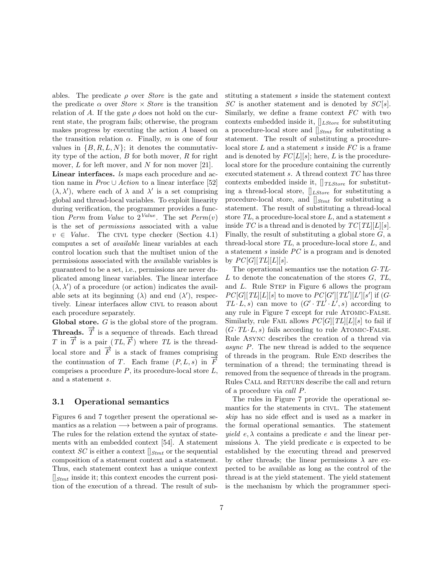ables. The predicate  $\rho$  over *Store* is the gate and the predicate  $\alpha$  over *Store*  $\times$  *Store* is the transition relation of A. If the gate  $\rho$  does not hold on the current state, the program fails; otherwise, the program makes progress by executing the action *A* based on the transition relation  $\alpha$ . Finally, *m* is one of four values in  $\{B, R, L, N\}$ ; it denotes the commutativity type of the action, *B* for both mover, *R* for right mover, *L* for left mover, and *N* for non mover [21].

Linear interfaces. *ls* maps each procedure and action name in  $Proc \cup Action$  to a linear interface [52]  $(\lambda, \lambda')$ , where each of  $\lambda$  and  $\lambda'$  is a set comprising global and thread-local variables. To exploit linearity during verification, the programmer provides a function *Perm* from *Value* to  $2^{Value}$ . The set *Perm* $(v)$ is the set of *permissions* associated with a value  $v \in Value$ . The CIVL type checker (Section 4.1) computes a set of *available* linear variables at each control location such that the multiset union of the permissions associated with the available variables is guaranteed to be a set, i.e., permissions are never duplicated among linear variables. The linear interface  $(\lambda, \lambda')$  of a procedure (or action) indicates the available sets at its beginning  $(\lambda)$  and end  $(\lambda')$ , respectively. Linear interfaces allow CIVL to reason about each procedure separately.

Global store. *G* is the global store of the program. **Threads.**  $\overrightarrow{T}$  is a sequence of threads. Each thread *T* in  $\overrightarrow{T}$  is a pair  $(TL, \overrightarrow{F})$  where *TL* is the threadlocal store and  $\vec{F}$  is a stack of frames comprising the continuation of *T*. Each frame  $(P, L, s)$  in  $\vec{F}$ comprises a procedure *P*, its procedure-local store *L*, and a statement *s*.

### 3.1 Operational semantics

Figures 6 and 7 together present the operational semantics as a relation  $\longrightarrow$  between a pair of programs. The rules for the relation extend the syntax of statements with an embedded context [54]. A statement context *SC* is either a context  $\left[\right]_{Stmt}$  or the sequential composition of a statement context and a statement. Thus, each statement context has a unique context []*Stmt* inside it; this context encodes the current position of the execution of a thread. The result of substituting a statement *s* inside the statement context *SC* is another statement and is denoted by *SC* [*s*]. Similarly, we define a frame context *FC* with two contexts embedded inside it, []*LStore* for substituting a procedure-local store and []*Stmt* for substituting a statement. The result of substituting a procedurelocal store *L* and a statement *s* inside *FC* is a frame and is denoted by  $FC[L][s]$ ; here, *L* is the procedurelocal store for the procedure containing the currently executed statement *s*. A thread context *TC* has three contexts embedded inside it, []*TLStore* for substituting a thread-local store, []*LStore* for substituting a procedure-local store, and []*Stmt* for substituting a statement. The result of substituting a thread-local store *TL*, a procedure-local store *L*, and a statement *s* inside  $TC$  is a thread and is denoted by  $TC[TL][L][s]$ . Finally, the result of substituting a global store *G*, a thread-local store *TL*, a procedure-local store *L*, and a statement *s* inside *PC* is a program and is denoted by  $PC[G][TL][L][s]$ .

The operational semantics use the notation *G·TL· L* to denote the concatenation of the stores *G*, *TL*, and *L*. Rule STEP in Figure 6 allows the program  $PC[G][TL][L][s]$  to move to  $PC[G'][TL'][L'][s']$  if  $(G \cdot )$  $TL \cdot L$ , *s*) can move to  $(G' \cdot TL' \cdot L'$ , *s*) according to any rule in Figure 7 except for rule Atomic-False. Similarly, rule FAIL allows  $PC[G][TL][L][s]$  to fail if  $(G \cdot TL \cdot L, s)$  fails according to rule ATOMIC-FALSE. Rule Async describes the creation of a thread via *async P*. The new thread is added to the sequence of threads in the program. Rule END describes the termination of a thread; the terminating thread is removed from the sequence of threads in the program. Rules CALL and RETURN describe the call and return of a procedure via *call P*.

The rules in Figure 7 provide the operational semantics for the statements in CIVL. The statement *skip* has no side effect and is used as a marker in the formal operational semantics. The statement *yield*  $e, \lambda$  contains a predicate  $e$  and the linear permissions  $\lambda$ . The yield predicate *e* is expected to be established by the executing thread and preserved by other threads; the linear permissions  $\lambda$  are expected to be available as long as the control of the thread is at the yield statement. The yield statement is the mechanism by which the programmer speci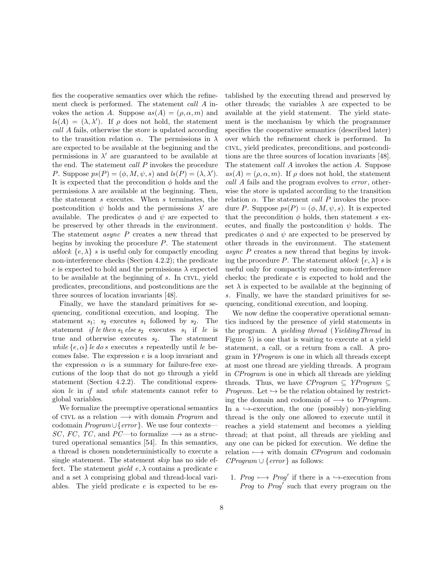fies the cooperative semantics over which the refinement check is performed. The statement *call A* invokes the action *A*. Suppose  $as(A)=(\rho,\alpha,m)$  and  $ls(A) = (\lambda, \lambda')$ . If  $\rho$  does not hold, the statement *call A* fails, otherwise the store is updated according to the transition relation  $\alpha$ . The permissions in  $\lambda$ are expected to be available at the beginning and the permissions in  $\lambda'$  are guaranteed to be available at the end. The statement *call P* invokes the procedure *P*. Suppose  $ps(P) = (\phi, M, \psi, s)$  and  $ls(P) = (\lambda, \lambda')$ . It is expected that the precondition  $\phi$  holds and the permissions  $\lambda$  are available at the beginning. Then, the statement *s* executes. When *s* terminates, the postcondition  $\psi$  holds and the permissions  $\lambda'$  are available. The predicates  $\phi$  and  $\psi$  are expected to be preserved by other threads in the environment. The statement *async P* creates a new thread that begins by invoking the procedure *P*. The statement *ablock*  $\{e, \lambda\}$  *s* is useful only for compactly encoding non-interference checks (Section 4.2.2); the predicate  $e$  is expected to hold and the permissions  $\lambda$  expected to be available at the beginning of *s*. In CIVL, yield predicates, preconditions, and postconditions are the three sources of location invariants [48].

Finally, we have the standard primitives for sequencing, conditional execution, and looping. The statement  $s_1$ ;  $s_2$  executes  $s_1$  followed by  $s_2$ . The statement *if le then*  $s_1$  *else*  $s_2$  executes  $s_1$  if *le* is true and otherwise executes  $s_2$ . The statement *while*  $\{e, \alpha\}$  *le do s* executes *s* repeatedly until *le* becomes false. The expression *e* is a loop invariant and the expression  $\alpha$  is a summary for failure-free executions of the loop that do not go through a yield statement (Section 4.2.2). The conditional expression *le* in *if* and *while* statements cannot refer to global variables.

We formalize the preemptive operational semantics of CIVL as a relation  $\longrightarrow$  with domain *Program* and codomain *Program* [*{error}*. We use four contexts— *SC*, *FC*, *TC*, and *PC*—to formalize  $\longrightarrow$  as a structured operational semantics [54]. In this semantics, a thread is chosen nondeterministically to execute a single statement. The statement *skip* has no side effect. The statement *yield*  $e, \lambda$  contains a predicate  $e$ and a set  $\lambda$  comprising global and thread-local variables. The yield predicate *e* is expected to be established by the executing thread and preserved by other threads; the variables  $\lambda$  are expected to be available at the yield statement. The yield statement is the mechanism by which the programmer specifies the cooperative semantics (described later) over which the refinement check is performed. In civl, yield predicates, preconditions, and postconditions are the three sources of location invariants [48]. The statement *call A* invokes the action *A*. Suppose  $as(A)=(\rho,\alpha,m)$ . If  $\rho$  does not hold, the statement *call A* fails and the program evolves to *error* , otherwise the store is updated according to the transition relation  $\alpha$ . The statement *call P* invokes the procedure *P*. Suppose  $ps(P) = (\phi, M, \psi, s)$ . It is expected that the precondition  $\phi$  holds, then statement *s* executes, and finally the postcondition  $\psi$  holds. The predicates  $\phi$  and  $\psi$  are expected to be preserved by other threads in the environment. The statement *async P* creates a new thread that begins by invoking the procedure P. The statement *ablock*  $\{e, \lambda\}$  *s* is useful only for compactly encoding non-interference checks; the predicate *e* is expected to hold and the set  $\lambda$  is expected to be available at the beginning of *s*. Finally, we have the standard primitives for sequencing, conditional execution, and looping.

We now define the cooperative operational semantics induced by the presence of yield statements in the program. A *yielding thread* (*YieldingThread* in Figure 5) is one that is waiting to execute at a yield statement, a call, or a return from a call. A program in *YProgram* is one in which all threads except at most one thread are yielding threads. A program in *CProgram* is one in which all threads are yielding threads. Thus, we have  $CProgram \subseteq YProgram \subseteq$ *Program*. Let  $\hookrightarrow$  be the relation obtained by restricting the domain and codomain of  $\longrightarrow$  to *YProgram*. In a  $\rightarrow$ -execution, the one (possibly) non-yielding thread is the only one allowed to execute until it reaches a yield statement and becomes a yielding thread; at that point, all threads are yielding and any one can be picked for execution. We define the relation  $\longmapsto$  with domain *CProgram* and codomain *CProgram*  $\cup$  {*error*} as follows:

1. *Prog*  $\rightarrow$  *Prog'* if there is a  $\rightarrow$ -execution from *Prog* to *Prog*<sup>'</sup> such that every program on the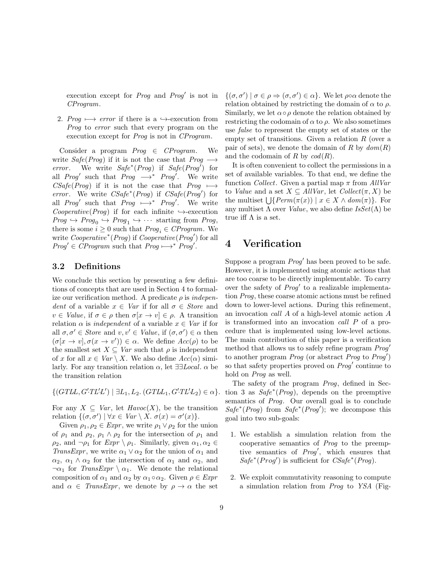execution except for *Prog* and *Prog*<sup>'</sup> is not in *CProgram*.

2. *Prog*  $\mapsto$  *error* if there is a  $\hookrightarrow$ -execution from *Prog* to *error* such that every program on the execution except for *Prog* is not in *CProgram*.

Consider a program  $Prog \in CProgram$ . We write  $Safe(Prog)$  if it is not the case that  $Prog$ *error*. We write  $Safe^*(Prog)$  if  $Safe(Prog')$  for all *Prog*<sup> $\rightarrow$ </sup> such that *Prog*  $\rightarrow$ <sup>\*</sup> *Prog*<sup> $\prime$ </sup>. We write  $CSafe(Prog)$  if it is not the case that  $Prog \mapsto$ *error*. We write  $CSafe^*(Prog)$  if  $CSafe(Prog')$  for all *Prog'* such that  $Prog \mapsto^* Prog'$ . We write *Cooperative*(*Prog*) if for each infinite  $\rightarrow$ -execution  $Prog \hookrightarrow \text{Prog}_0 \hookrightarrow \text{Prog}_1 \hookrightarrow \cdots$  starting from *Prog*, there is some  $i \geq 0$  such that  $Prog_i \in CProgram$ . We write *Cooperative*<sup>\*</sup>(*Prog*) if *Cooperative*(*Prog'*) for all  $Prog' \in CProgram$  such that  $Prog \mapsto^* Prog'.$ 

### 3.2 Definitions

We conclude this section by presenting a few definitions of concepts that are used in Section 4 to formalize our verification method. A predicate  $\rho$  is *independent* of a variable  $x \in Var$  if for all  $\sigma \in Store$  and  $v \in Value$ , if  $\sigma \in \rho$  then  $\sigma[x \to v] \in \rho$ . A transition relation  $\alpha$  is *independent* of a variable  $x \in Var$  if for all  $\sigma, \sigma' \in \text{Store}$  and  $v, v' \in \text{Value}$ , if  $(\sigma, \sigma') \in \alpha$  then  $(\sigma[x \to v], \sigma(x \to v')) \in \alpha$ . We define  $Acc(\rho)$  to be the smallest set  $X \subseteq Var$  such that  $\rho$  is independent of *x* for all  $x \in Var \setminus X$ . We also define  $Acc(\alpha)$  similarly. For any transition relation  $\alpha$ , let  $\exists$ Local.  $\alpha$  be the transition relation

$$
\{(GTLL, G'TL'L') \mid \exists L_1, L_2. (GTLL_1, G'TL'L_2) \in \alpha\}.
$$

For any  $X \subseteq Var$ , let  $Havoc(X)$ , be the transition relation  $\{(\sigma, \sigma') \mid \forall x \in Var \setminus X \cdot \sigma(x) = \sigma'(x)\}.$ 

Given  $\rho_1, \rho_2 \in \text{Expr}$ , we write  $\rho_1 \vee \rho_2$  for the union of  $\rho_1$  and  $\rho_2$ ,  $\rho_1 \wedge \rho_2$  for the intersection of  $\rho_1$  and  $\rho_2$ , and  $\neg \rho_1$  for  $Expr \setminus \rho_1$ . Similarly, given  $\alpha_1, \alpha_2 \in$ *TransExpr*, we write  $\alpha_1 \vee \alpha_2$  for the union of  $\alpha_1$  and  $\alpha_2$ ,  $\alpha_1 \wedge \alpha_2$  for the intersection of  $\alpha_1$  and  $\alpha_2$ , and  $\neg \alpha_1$  for *TransExpr*  $\setminus \alpha_1$ . We denote the relational composition of  $\alpha_1$  and  $\alpha_2$  by  $\alpha_1 \circ \alpha_2$ . Given  $\rho \in \mathit{Expr}$ and  $\alpha \in \text{TransExpr}$ , we denote by  $\rho \to \alpha$  the set

 $\{(\sigma, \sigma') \mid \sigma \in \rho \Rightarrow (\sigma, \sigma') \in \alpha\}.$  We let  $\rho \circ \alpha$  denote the relation obtained by restricting the domain of  $\alpha$  to  $\rho$ . Similarly, we let  $\alpha \circ \rho$  denote the relation obtained by restricting the codomain of  $\alpha$  to  $\rho$ . We also sometimes use *false* to represent the empty set of states or the empty set of transitions. Given a relation *R* (over a pair of sets), we denote the domain of  $R$  by  $dom(R)$ and the codomain of *R* by *cod*(*R*).

It is often convenient to collect the permissions in a set of available variables. To that end, we define the function *Collect*. Given a partial map  $\pi$  from *AllVar* to *Value* and a set  $X \subseteq AllVar$ , let  $Collect(\pi, X)$  be the multiset  $\bigcup \{Perm(\pi(x)) \mid x \in X \wedge dom(\pi)\}\.$  For any multiset  $\Lambda$  over *Value*, we also define  $IsSet(\Lambda)$  be true iff  $\Lambda$  is a set.

## 4 Verification

Suppose a program *Prog*<sup>'</sup> has been proved to be safe. However, it is implemented using atomic actions that are too coarse to be directly implementable. To carry over the safety of  $Prog'$  to a realizable implementation *Prog*, these coarse atomic actions must be refined down to lower-level actions. During this refinement, an invocation *call A* of a high-level atomic action *A* is transformed into an invocation *call P* of a procedure that is implemented using low-level actions. The main contribution of this paper is a verification method that allows us to safely refine program *Prog*<sup>'</sup> to another program *Prog* (or abstract *Prog* to *Prog'*) so that safety properties proved on *Prog*<sup>'</sup> continue to hold on *Prog* as well.

The safety of the program *Prog*, defined in Section 3 as  $Safe^*(Prog)$ , depends on the preemptive semantics of *Prog*. Our overall goal is to conclude  $Safe^*(Prog)$  from  $Safe^*(Prog')$ ; we decompose this goal into two sub-goals:

- 1. We establish a simulation relation from the cooperative semantics of *Prog* to the preemptive semantics of *Prog'*, which ensures that  $Safe^*(Prog')$  is sufficient for  $CSafe^*(Prog)$ .
- 2. We exploit commutativity reasoning to compute a simulation relation from *Prog* to *YSA* (Fig-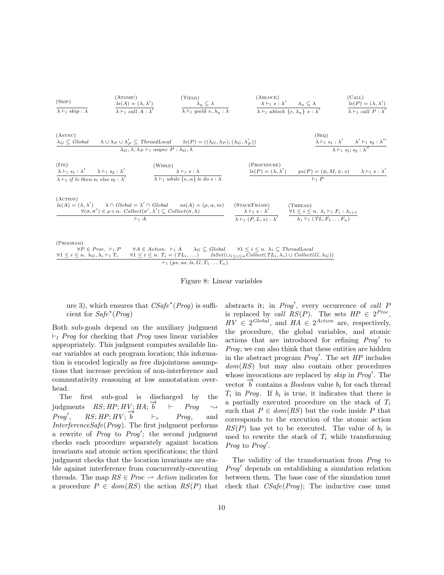| (SKIP)<br>$\lambda \vdash_l skip : \lambda$                                                                                                           | $\frac{ls(A) = (\lambda, \lambda')}{\lambda \vdash_l \text{call } A : \lambda'}$  | $\lambda_y \subseteq \lambda$<br>$\lambda \vdash_l y$ ield $e, \lambda_y : \lambda$<br>$\lambda \vdash_l ablock \{e, \lambda_a\} s : \lambda'$                                                                                                                                                                                                                                                         |                       | $\lambda \vdash_l s : \lambda' \quad \quad \lambda_a \subseteq \lambda$                                                                      | $\frac{ls(P) = (\lambda, \lambda')}{\lambda \vdash_l \text{call } P : \lambda'}$                                         |
|-------------------------------------------------------------------------------------------------------------------------------------------------------|-----------------------------------------------------------------------------------|--------------------------------------------------------------------------------------------------------------------------------------------------------------------------------------------------------------------------------------------------------------------------------------------------------------------------------------------------------------------------------------------------------|-----------------------|----------------------------------------------------------------------------------------------------------------------------------------------|--------------------------------------------------------------------------------------------------------------------------|
| (ASYNC)<br>$\lambda_G \subseteq Global$                                                                                                               | $\lambda_G$ , $\lambda$ , $\lambda_P$ $\vdash_l$ async $P: \lambda_G$ , $\lambda$ | $\lambda \cup \lambda_P \cup \lambda'_P \subseteq ThreadLocal$ $ls(P) = ((\lambda_G, \lambda_P), (\lambda_G, \lambda'_P))$                                                                                                                                                                                                                                                                             |                       | (SEQ)                                                                                                                                        | $\frac{\lambda \vdash_l s_1 : \lambda' \qquad \lambda' \vdash_l s_2 : \lambda''}{\lambda \vdash_l s_1, s_2 : \lambda''}$ |
| (TTE)<br>$\lambda \vdash_l s_1 : \lambda'$ $\lambda \vdash_l s_2 : \lambda'$<br>$\overline{\lambda\vdash_l\textit{if le then s_1 else s_2}:\lambda'}$ |                                                                                   | (WHILE)<br>$\lambda \vdash_l s : \lambda$<br>$\lambda \vdash_l \text{while } \{e, \alpha\} \text{ le do } s : \lambda$                                                                                                                                                                                                                                                                                 | (PROCEDURE)           | $ls(P) = (\lambda, \lambda')$ $ps(P) = (\phi, M, \psi, s)$ $\lambda \vdash_l s : \lambda'$<br>$\overline{\vdash$ <sub>r</sub> $\overline{P}$ |                                                                                                                          |
| (ACTION)                                                                                                                                              | $\vdash_l A$                                                                      | $ls(A) = (\lambda, \lambda') \qquad \lambda \cap Global = \lambda' \cap Global \qquad as(A) = (\rho, \alpha, m)$<br>$\forall (\sigma, \sigma') \in \rho \circ \alpha. \ \, Collect(\sigma', \lambda') \subseteq Collect(\sigma, \lambda)$ $\lambda \vdash_l s : \lambda' \qquad \forall 1 \leq i \leq n. \ \lambda_i \vdash_l F_i : \lambda_{i+1}$                                                     | (STACKFRAME) (THREAD) | $\lambda \vdash_l (P, L, s) : \lambda'$ $\lambda_1 \vdash_l (TL, F_1 \ldots F_n)$                                                            |                                                                                                                          |
| $(P_{ROGRAM})$                                                                                                                                        |                                                                                   | $\forall P \in Proc. \vdash_l P \qquad \forall A \in Action. \vdash_l A \qquad \lambda_G \subseteq Global \qquad \forall 1 \leq i \leq n. \lambda_i \subseteq ThreadLocal$<br>$\forall 1 \leq i \leq n. \ \lambda_G, \lambda_i \vdash_l T_i \qquad \forall 1 \leq i \leq n. \ T_i = (TL_i, \ldots) \qquad \textit{IssSet}(\cup_{1 \leq i \leq n} Collect(TL_i, \lambda_i) \cup Collect(G, \lambda_G))$ |                       |                                                                                                                                              |                                                                                                                          |

(Ablock)

(Call)



(Yield)



ure 3), which ensures that  $CSafe^*(Proq)$  is sufficient for *Safe*⇤(*Prog*)

(Atomic)

Both sub-goals depend on the auxiliary judgment  $\nvdash_l$  *Prog* for checking that *Prog* uses linear variables appropriately. This judgment computes available linear variables at each program location; this information is encoded logically as free disjointness assumptions that increase precision of non-interference and commutativity reasoning at low annotatation overhead.

The first sub-goal is discharged by the judgments  $RS; HP;HV;HA;\overrightarrow{b}$  $\begin{array}{l} b' \\ \vdash_r \end{array}$  *Prog* ;  $Proq'$ ,  $RS$ ; *HP*; *HV*;  $\overrightarrow{b}$  $\overrightarrow{b}$   $\vdash_r$  *Prog*, and *InterferenceSafe*(*Prog*). The first judgment performs a rewrite of *Prog* to *Prog'*; the second judgment checks each procedure separately against location invariants and atomic action specifications; the third judgment checks that the location invariants are stable against interference from concurrently-executing threads. The map  $RS \in Proc \rightarrow Action$  indicates for a procedure  $P \in dom(RS)$  the action  $RS(P)$  that

abstracts it; in *Prog'*, every occurrence of *call P* is replaced by *call RS(P)*. The sets  $HP \in 2^{Proc}$ ,  $HV \in 2^{Global}$ , and  $HA \in 2^{Action}$  are, respectively, the procedure, the global variables, and atomic actions that are introduced for refining *Prog*<sup>'</sup> to *Prog*; we can also think that these entities are hidden in the abstract program *Prog'*. The set *HP* includes *dom*(*RS*) but may also contain other procedures whose invocations are replaced by *skip* in *Prog'*. The vector  $\overrightarrow{b}$  contains a *Boolean* value  $b_i$  for each thread  $T_i$  in *Prog*. If  $b_i$  is true, it indicates that there is a partially executed procedure on the stack of *T<sup>i</sup>* such that  $P \in dom(RS)$  but the code inside *P* that corresponds to the execution of the atomic action  $RS(P)$  has yet to be executed. The value of  $b_i$  is used to rewrite the stack of  $T_i$  while transforming *Prog* to *Prog'*.

The validity of the transformation from *Prog* to *Prog*<sup> $\prime$ </sup> depends on establishing a simulation relation between them. The base case of the simulation must check that *CSafe*(*Prog*); The inductive case must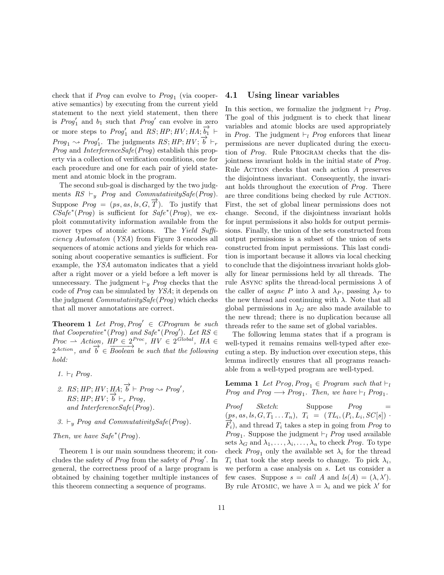check that if *Prog* can evolve to *Prog*<sub>1</sub> (via cooperative semantics) by executing from the current yield statement to the next yield statement, then there is  $Prog'_1$  and  $b_1$  such that  $Prog'$  can evolve in zero or more steps to  $Prog'_1$  and  $RS; HP;HV; HA;\overrightarrow{b_1} \vdash$  $Prog_1 \rightsquigarrow Prog'_1$ . The judgments  $RS; HP; HV; \overrightarrow{b} \vdash_r$ *Prog* and *InterferenceSafe*(*Prog*) establish this property via a collection of verification conditions, one for each procedure and one for each pair of yield statement and atomic block in the program.

The second sub-goal is discharged by the two judgments  $RS \vdash_{y}$  *Prog* and *CommutativitySafe(Prog)*. Suppose  $Prog = (ps, as, ls, G, \overrightarrow{T})$ . To justify that  $CSafe^*(Prog)$  is sufficient for  $Safe^*(Prog)$ , we exploit commutativity information available from the mover types of atomic actions. The *Yield Sufficiency Automaton* (*YSA*) from Figure 3 encodes all sequences of atomic actions and yields for which reasoning about cooperative semantics is sufficient. For example, the *YSA* automaton indicates that a yield after a right mover or a yield before a left mover is unnecessary. The judgment  $\vdash_y$  *Prog* checks that the code of *Prog* can be simulated by *YSA*; it depends on the judgment *CommutativitySafe*(*Prog*) which checks that all mover annotations are correct.

**Theorem 1** Let  $Prog$ ,  $Prog' \in CProgram$  be such *that Cooperative*<sup>\*</sup>(*Prog*) and  $Safe^*$ (*Prog*<sup> $\prime$ </sup>). Let  $RS \in$  $\text{Proc} \rightarrow \text{Action}, \text{ HP} \in 2^{\text{Proc}}, \text{HV} \in 2^{\text{Global}}, \text{ HA} \in$  $2^{Action}$ , and  $\overrightarrow{b} \in \overrightarrow{Boolean}$  be such that the following *hold:*

- 1.  $\vdash_l$  *Prog.*
- 2.  $RS; HP; HV; H\overrightarrow{A}; \overrightarrow{b} \vdash Prog \rightsquigarrow Prog',$  $RS; HP;HV; \overrightarrow{b} \vdash_r Prog,$ *and InterferenceSafe*(*Prog*)*.*
- 3.  $\vdash_y$  *Prog and CommutativitySafe(Prog)*.

*Then, we have Safe*<sup>\*</sup>(*Prog*).

Theorem 1 is our main soundness theorem; it concludes the safety of *Prog* from the safety of *Prog'*. In general, the correctness proof of a large program is obtained by chaining together multiple instances of this theorem connecting a sequence of programs.

### 4.1 Using linear variables

In this section, we formalize the judgment  $\vdash_l$  *Prog.* The goal of this judgment is to check that linear variables and atomic blocks are used appropriately in *Prog*. The judgment  $\nvdash_l$  *Prog* enforces that linear permissions are never duplicated during the execution of *Prog*. Rule Program checks that the disjointness invariant holds in the initial state of *Prog*. Rule Action checks that each action *A* preserves the disjointness invariant. Consequently, the invariant holds throughout the execution of *Prog*. There are three conditions being checked by rule ACTION. First, the set of global linear permissions does not change. Second, if the disjointness invariant holds for input permissions it also holds for output permissions. Finally, the union of the sets constructed from output permissions is a subset of the union of sets constructed from input permissions. This last condition is important because it allows via local checking to conclude that the disjointness invariant holds globally for linear permissions held by all threads. The rule ASYNC splits the thread-local permissions  $\lambda$  of the caller of *async* P into  $\lambda$  and  $\lambda_P$ , passing  $\lambda_P$  to the new thread and continuing with  $\lambda$ . Note that all global permissions in  $\lambda_G$  are also made available to the new thread; there is no duplication because all threads refer to the same set of global variables.

The following lemma states that if a program is well-typed it remains remains well-typed after executing a step. By induction over execution steps, this lemma indirectly ensures that all programs reaachable from a well-typed program are well-typed.

**Lemma 1** Let  $Prog_1 \in Program \textit{ such that } \vdash_l$ *Prog and Prog*  $\longrightarrow$  *Prog<sub>1</sub>*. *Then, we have*  $\vdash_l$  *Prog<sub>1</sub>*.

*Proof Sketch*: Suppose *Prog* =  $(ps, as, ls, G, T_1 ... T_n), T_i = (TL_i, (P_i, L_i, SC[s]) \cdot \overline{F_i})$ , and thread  $T_i$  takes a step in going from *Prog* to *Prog*<sub>1</sub>. Suppose the judgment  $\vdash_l$  *Prog* used available sets  $\lambda_G$  and  $\lambda_1, \ldots, \lambda_i, \ldots, \lambda_n$  to check *Prog*. To type check *Prog*<sub>1</sub> only the available set  $\lambda_i$  for the thread  $T_i$  that took the step needs to change. To pick  $\lambda_i$ , we perform a case analysis on *s*. Let us consider a few cases. Suppose  $s = \text{call } A$  and  $ls(A) = (\lambda, \lambda').$ By rule ATOMIC, we have  $\lambda = \lambda_i$  and we pick  $\lambda'$  for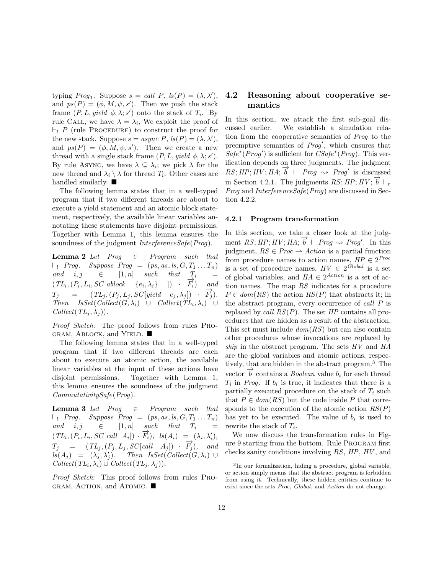typing  $Prog_1$ . Suppose  $s = \text{call } P$ ,  $ls(P) = (\lambda, \lambda')$ , and  $ps(P) = (\phi, M, \psi, s')$ . Then we push the stack frame  $(P, L, yield \phi, \lambda; s')$  onto the stack of  $T_i$ . By rule CALL, we have  $\lambda = \lambda_i$ , We exploit the proof of  $\vdash_l P$  (rule PROCEDURE) to construct the proof for the new stack. Suppose  $s = \text{async } P$ ,  $\text{ls}(P) = (\lambda, \lambda'),$ and  $ps(P) = (\phi, M, \psi, s')$ . Then we create a new thread with a single stack frame  $(P, L, yield \phi, \lambda; s')$ . By rule ASYNC, we have  $\lambda \subseteq \lambda_i$ ; we pick  $\lambda$  for the new thread and  $\lambda_i \setminus \lambda$  for thread  $T_i$ . Other cases are handled similarly.  $\blacksquare$ 

The following lemma states that in a well-typed program that if two different threads are about to execute a yield statement and an atomic block statement, respectively, the available linear variables annotating these statements have disjoint permissions. Together with Lemma 1, this lemma ensures the soundness of the judgment *InterferenceSafe*(*Prog*).

**Lemma 2** Let  $Prog \in Program \textit{such that}$  $\nvdash_l$  *Prog.* Suppose *Prog* = (*ps, as, ls, G, T*<sub>1</sub> ... *T<sub>n</sub>*) and *i*, *j*  $\in$  [1*, n*] such that *T<sub>i</sub>* =  $and$   $i, j \in [1, n]$   $such$   $that$   $T_i$ <br> $(TL_i, (P_i, L_i, SC[ablock \{e_i, \lambda_i\} \}) \cdot \overrightarrow{F_i})$  $(TL_i, (P_i, L_i, SC[ablock \{e_i, \lambda_i\} \ \vert) \cdot \overrightarrow{F_i})$  and  $T_j$  =  $(TL_j, (P_j, L_j, SC[yield \quad e_j, \lambda_j]) \cdot \overrightarrow{F_j}).$ *Then*  $IsSet(Collect(G, \lambda_i) \cup Collect(TL_i, \lambda_i) \cup$  $Collect(TL_i, \lambda_i)).$ 

*Proof Sketch*: The proof follows from rules Pro-GRAM, ABLOCK, and YIELD.  $\blacksquare$ 

The following lemma states that in a well-typed program that if two different threads are each about to execute an atomic action, the available linear variables at the input of these actions have disjoint permissions. Together with Lemma 1, this lemma ensures the soundness of the judgment *CommutativitySafe*(*Prog*).

**Lemma 3** Let  $Prog \in Program \text{such that}$  $\nvdash_l$  *Prog.* Suppose *Prog* = (*ps, as, ls, G*, *T*<sub>1</sub> *... T<sub>n</sub>*) and *i*, *j*  $\in$  [1*, n*] such that *T<sub>i</sub>* =  $\in$  [1, *n*] *such that*  $T_i$  $(TL_i,(P_i,L_i,SC[call A_i]) \cdot \overrightarrow{F_i}), \; ls(A_i) = (\lambda_i, \lambda'_i),$  $T_j$  =  $(TL_j, (P_j, L_j, SC[call \ A_j]) \cdot \overrightarrow{F_j})$ , and  $ls(A_j) = (\lambda_j, \lambda'_j)$ . Then IsSet(*Collect*(*G*,  $\lambda_i$ )  $\cup$  $Collect(TL_i, \lambda_i) \cup Collect(TL_i, \lambda_i)).$ 

*Proof Sketch*: This proof follows from rules Pro-GRAM, ACTION, and ATOMIC.

### 4.2 Reasoning about cooperative semantics

In this section, we attack the first sub-goal discussed earlier. We establish a simulation relation from the cooperative semantics of *Prog* to the preemptive semantics of *Prog'*, which ensures that  $Safe^*(Prog')$  is sufficient for  $CSafe^*(Prog)$ . This verification depends on three judgments. The judgment  $RS; HP;HV;HA; \overrightarrow{b} \vdash Prog \rightsquigarrow Prog' \text{ is discussed}$ in Section 4.2.1. The judgments  $RS$ ;  $HP$ ;  $HV$ ;  $\overrightarrow{b}$   $\vdash$ <sub>r</sub> *Prog* and *InterferenceSafe*(*Prog*) are discussed in Section 4.2.2.

#### 4.2.1 Program transformation

In this section, we take a closer look at the judgment  $RS$ ;  $HP$ ;  $HV$ ;  $HA$ ;  $\overrightarrow{b}$   $\vdash$   $Prog \rightsquigarrow$   $Prog'$ . In this judgment,  $RS \in Proc \rightarrow Action$  is a partial function from procedure names to action names,  $HP \in 2^{Proc}$ is a set of procedure names,  $HV \in 2^{Global}$  is a set of global variables, and  $HA \in 2^{Action}$  is a set of action names. The map *RS* indicates for a procedure  $P \in dom(RS)$  the action  $RS(P)$  that abstracts it; in the abstract program, every occurrence of *call P* is replaced by *call RS*(*P*). The set *HP* contains all procedures that are hidden as a result of the abstraction. This set must include *dom*(*RS*) but can also contain other procedures whose invocations are replaced by *skip* in the abstract program. The sets *HV* and *HA* are the global variables and atomic actions, respectively, that are hidden in the abstract program.<sup>3</sup> The vector  $\overrightarrow{b}$  contains a *Boolean* value  $b_i$  for each thread  $T_i$  in *Prog*. If  $b_i$  is true, it indicates that there is a partially executed procedure on the stack of  $T_i$  such that  $P \in dom(RS)$  but the code inside *P* that corresponds to the execution of the atomic action *RS*(*P*) has yet to be executed. The value of  $b_i$  is used to rewrite the stack of *Ti*.

We now discuss the transformation rules in Figure 9 starting from the bottom. Rule Program first checks sanity conditions involving *RS*, *HP*, *HV* , and

<sup>3</sup>In our formalization, hiding a procedure, global variable, or action simply means that the abstract program is forbidden from using it. Technically, these hidden entities continue to exist since the sets *Proc*, *Global*, and *Action* do not change.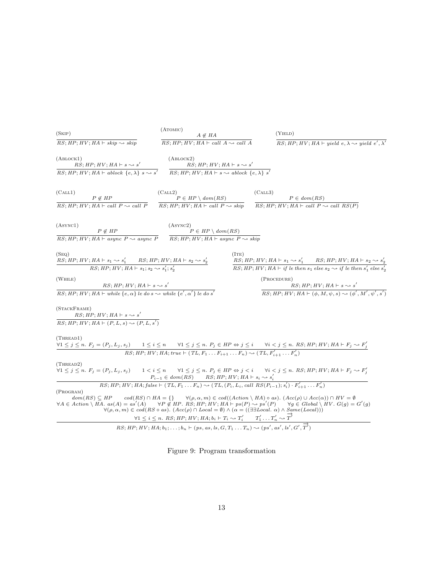| (SKIP)                                                                                                                                                                                                                                                                                                                                                                                                                                                                                                                      | (ATOMIC)<br>$A \notin HA$                                                                                                                                                                                                                                                                                                               | (Y <sub>IED</sub> ) |                                                                                                                                                                                              |
|-----------------------------------------------------------------------------------------------------------------------------------------------------------------------------------------------------------------------------------------------------------------------------------------------------------------------------------------------------------------------------------------------------------------------------------------------------------------------------------------------------------------------------|-----------------------------------------------------------------------------------------------------------------------------------------------------------------------------------------------------------------------------------------------------------------------------------------------------------------------------------------|---------------------|----------------------------------------------------------------------------------------------------------------------------------------------------------------------------------------------|
| $RS$ ; HP; HV; HA $\vdash$ skip $\leadsto$ skip                                                                                                                                                                                                                                                                                                                                                                                                                                                                             | $RS; HP;HV;HA \vdash call A \rightarrow call A$                                                                                                                                                                                                                                                                                         |                     | $RS; HP;HV;HA \vdash yield \ e, \lambda \leadsto yield \ e',\lambda'$                                                                                                                        |
| (ABLOCK1)<br>$\frac{RS; HP;HV;HA \vdash s \leadsto s' \qquad RS;HP;HV;HA \vdash s \leadsto s' \qquad \frac{RS;HP;HV;HA \vdash s \leadsto s' \qquad \frac{RS;HP;HV;HA \vdash s \leadsto s' \qquad \frac{RS;HP;HV;HA \vdash s \leadsto s' \qquad \frac{RS;HP;HV;HA \vdash s \leadsto s' \qquad \frac{RS;HP;HH}{\Box s \rightarrow s \qquad \frac{RS;HP;HH}{\Box s \rightarrow s \qquad \frac{RS;HP;HH}{\Box s \rightarrow s \qquad \frac{RS;HP;HH}{\Box s \rightarrow s \qquad \frac{RS;HP;HH}{\Box s \rightarrow s \qquad \$ | (ABLOCK2)                                                                                                                                                                                                                                                                                                                               |                     |                                                                                                                                                                                              |
|                                                                                                                                                                                                                                                                                                                                                                                                                                                                                                                             |                                                                                                                                                                                                                                                                                                                                         |                     |                                                                                                                                                                                              |
| (CALL1)<br>$P \notin HP$<br>$RS; HP;HV;HA \vdash call P \leadsto call P$ $\overline{RS;HP;HV;HA \vdash call P \leadsto call P}$ $\overline{RS;HP;HV;HA \vdash call P \leadsto skip}$ $\overline{RS;HP;HV;HA \vdash call P \leadsto call RS(P)}$                                                                                                                                                                                                                                                                             | (CALL2)                                                                                                                                                                                                                                                                                                                                 | (CALL3)             |                                                                                                                                                                                              |
|                                                                                                                                                                                                                                                                                                                                                                                                                                                                                                                             |                                                                                                                                                                                                                                                                                                                                         |                     |                                                                                                                                                                                              |
| (AsYNC1)<br>$R\overbrace{RS;HP;HV;HA \vdash \text{async }P \rightsquigarrow \text{async }P}^{P \varphi \text{ H}P} \qquad R\overbrace{RS;HP;HV;HA \vdash \text{async }P \rightsquigarrow \text{skip}}^{P \varphi \text{ H}P}$                                                                                                                                                                                                                                                                                               | (AsYNC2)                                                                                                                                                                                                                                                                                                                                |                     |                                                                                                                                                                                              |
|                                                                                                                                                                                                                                                                                                                                                                                                                                                                                                                             |                                                                                                                                                                                                                                                                                                                                         |                     |                                                                                                                                                                                              |
| (SEQ)<br>$\frac{RS'_1HP_1HV_1HA \vdash s_1 \leadsto s'_1 \qquad RS_1HP_1HV_1HA \vdash s_2 \leadsto s'_2}{RS_1HP_1HV_1HA \vdash s_1, s_2 \leadsto s'_1, s'_2}$                                                                                                                                                                                                                                                                                                                                                               |                                                                                                                                                                                                                                                                                                                                         | (1TE)               | $\frac{RS;HP;HV;HA \vdash s_1 \leadsto s_1' \qquad RS;HP;HV;HA \vdash s_2 \leadsto s_2'}{RS;HP;HV;HA \vdash if let then s_1 \text{ else } s_2 \leadsto if let then s_1' \text{ else } s_2'}$ |
| (WHILE)<br>$\frac{RS;HP;HV;HA \vdash s \leadsto s'}{RS;HP;HV;HA \vdash white\,\{e,\alpha\}\,\textit{le do s} \leadsto \textit{while}\,\{e',\alpha'\}\,\textit{le do s'}}$                                                                                                                                                                                                                                                                                                                                                   |                                                                                                                                                                                                                                                                                                                                         | (PROCEDURE)         | $RS; HP;HV;HA \vdash s \rightsquigarrow s'$<br>RS; HP; HV; HA $\vdash (\phi, M, \psi, s) \rightsquigarrow (\phi', M', \psi', s')$                                                            |
|                                                                                                                                                                                                                                                                                                                                                                                                                                                                                                                             |                                                                                                                                                                                                                                                                                                                                         |                     |                                                                                                                                                                                              |
| (STACKFRAME)<br>$RS; HP;HV;HA \vdash s \leadsto s'$<br>$RS;HP;HV;HA \vdash (P, L, s) \leadsto (P, L, s')$                                                                                                                                                                                                                                                                                                                                                                                                                   |                                                                                                                                                                                                                                                                                                                                         |                     |                                                                                                                                                                                              |
|                                                                                                                                                                                                                                                                                                                                                                                                                                                                                                                             |                                                                                                                                                                                                                                                                                                                                         |                     |                                                                                                                                                                                              |
| (THEAD1)<br>$\frac{\forall 1 \leq j \leq n. \ F_j = (P_j, L_j, s_j) \qquad 1 \leq i \leq n \qquad \forall 1 \leq j \leq n. \ P_j \in HP \Leftrightarrow j \leq i \qquad \forall i < j \leq n. \ RS; HP; HV; HA \vdash F_j \leadsto F_j' \qquad \qquad RS; HP; HV; HA; true \vdash (TL, F_1 \ldots F_{i+1} \ldots F_n) \leadsto (TL, F_{i+1}' \ldots F_n')$                                                                                                                                                                  |                                                                                                                                                                                                                                                                                                                                         |                     |                                                                                                                                                                                              |
|                                                                                                                                                                                                                                                                                                                                                                                                                                                                                                                             |                                                                                                                                                                                                                                                                                                                                         |                     |                                                                                                                                                                                              |
| (THREAD2)<br>$\forall 1 \leq j \leq n. \; F_j = (P_j, L_j, s_j) \qquad 1 < i \leq n \qquad \forall 1 \leq j \leq n. \; P_j \in HP \Leftrightarrow j < i \qquad \forall i < j \leq n. \; RS; HP; HV; HA \vdash F_j \leadsto F'_j \qquad \forall i < j \leq n. \; RF; \; FP; \; TH \vdash F_j \prec F'_j \; \forall F_i \vdash T' \; \forall F_i \vdash T' \; \forall F_i \vdash T' \; \forall F_i \vdash T' \; \forall F_i \vdash T' \; \forall F_i \vdash T' \; \forall F_i \vdash T' \; \forall F_i$                       | $P_{i-1} \in dom(RS)$ $RS; HP;HV;HA \vdash s_i \leadsto s'_i$                                                                                                                                                                                                                                                                           |                     |                                                                                                                                                                                              |
|                                                                                                                                                                                                                                                                                                                                                                                                                                                                                                                             | $RS; HP; HV; HA; false \vdash (TL, F_1 \ldots F_n) \rightsquigarrow (TL, (P_i, L_i, call \, RS(P_{i-1}); s'_i) \cdot F'_{i+1} \ldots F'_n)$                                                                                                                                                                                             |                     |                                                                                                                                                                                              |
| $(P_{ROGRAM})$<br>$\forall A \in Action \setminus HA. \; as(A) = as'(A) \qquad \forall P \notin HP. \; RS; HP; HV; HA \vdash ps(P) \rightsquigarrow ps'(P) \qquad \forall g \in Global \setminus HV. \; G(g) = G'(g)$                                                                                                                                                                                                                                                                                                       | $dom(RS) \subseteq HP$ $cod(RS) \cap HA = \{\}$ $\forall (\rho, \alpha, m) \in cod((Action \setminus HA) \circ as).$ $(Acc(\rho) \cup Acc(\alpha)) \cap HV = \emptyset$<br>$\forall (\rho, \alpha, m) \in cod(RS \circ as). (Acc(\rho) \cap Local = \emptyset) \land (\alpha = ((\exists \exists Local.\ \alpha) \land Sample(Local)))$ |                     |                                                                                                                                                                                              |
|                                                                                                                                                                                                                                                                                                                                                                                                                                                                                                                             | $\forall 1 \leq i \leq n$ . RS; HP; HV; HA; $b_i \vdash T_i \leadsto T'_i$ $T'_1 \ldots T'_n \leadsto T'$                                                                                                                                                                                                                               |                     |                                                                                                                                                                                              |

 $RS; HP; HV; HA; b_1; \ldots; b_n \vdash (ps, as, ls, G, T_1 \ldots T_n) \rightsquigarrow (ps', as', ls', G', \overrightarrow{T})$ 

Figure 9: Program transformation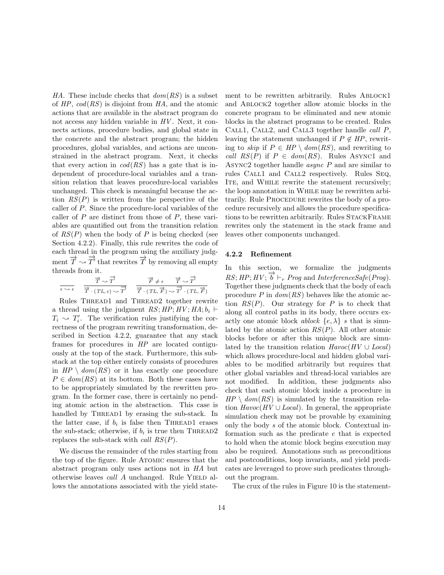*HA*. These include checks that *dom*(*RS*) is a subset of *HP*, *cod*(*RS*) is disjoint from *HA*, and the atomic actions that are available in the abstract program do not access any hidden variable in  $HV$ . Next, it connects actions, procedure bodies, and global state in the concrete and the abstract program; the hidden procedures, global variables, and actions are unconstrained in the abstract program. Next, it checks that every action in *cod*(*RS*) has a gate that is independent of procedure-local variables and a transition relation that leaves procedure-local variables unchanged. This check is meaningful because the action  $RS(P)$  is written from the perspective of the caller of *P*. Since the procedure-local variables of the caller of *P* are distinct from those of *P*, these variables are quantified out from the transition relation of *RS*(*P*) when the body of *P* is being checked (see Section 4.2.2). Finally, this rule rewrites the code of each thread in the program using the auxiliary judgment  $\overrightarrow{T} \sim \overrightarrow{T}'$  that rewrites  $\overrightarrow{T}$  by removing all empty threads from it.

$$
\overrightarrow{f} \leftrightarrow \overrightarrow{f}
$$
\n
$$
\overrightarrow{T} \cdot (TL, \epsilon) \rightarrow \overrightarrow{T}
$$
\n
$$
\overrightarrow{T} \cdot (TL, \overrightarrow{F}) \rightarrow \overrightarrow{T}
$$
\n
$$
\overrightarrow{T} \cdot (TL, \overrightarrow{T}) \rightarrow \overrightarrow{T} \cdot (TL, \overrightarrow{F}) \rightarrow \overrightarrow{T} \cdot (TL, \overrightarrow{F})
$$

Rules THREAD1 and THREAD2 together rewrite a thread using the judgment  $RS$ ;  $HP$ ;  $HV$ ;  $HA$ ;  $b_i$   $\vdash$  $T_i \sim T'_i$ . The verification rules justifying the correctness of the program rewriting transformation, described in Section 4.2.2, guarantee that any stack frames for procedures in *HP* are located contiguously at the top of the stack. Furthermore, this substack at the top either entirely consists of procedures in  $HP \setminus dom(RS)$  or it has exactly one procedure  $P \in dom(RS)$  at its bottom. Both these cases have to be appropriately simulated by the rewritten program. In the former case, there is certainly no pending atomic action in the abstraction. This case is handled by THREAD1 by erasing the sub-stack. In the latter case, if  $b_i$  is false then THREAD1 erases the sub-stack; otherwise, if  $b_i$  is true then THREAD2 replaces the sub-stack with *call RS*(*P*).

We discuss the remainder of the rules starting from the top of the figure. Rule ATOMIC ensures that the abstract program only uses actions not in *HA* but otherwise leaves *call A* unchanged. Rule YIELD allows the annotations associated with the yield statement to be rewritten arbitrarily. Rules ABLOCK1 and Ablock2 together allow atomic blocks in the concrete program to be eliminated and new atomic blocks in the abstract programs to be created. Rules Call1, Call2, and Call3 together handle *call P*, leaving the statement unchanged if  $P \notin HP$ , rewriting to *skip* if  $P \in HP \setminus dom(RS)$ , and rewriting to *call RS*(*P*) if  $P \in dom(RS)$ . Rules Async1 and Async2 together handle *async P* and are similar to rules CALL1 and CALL2 respectively. Rules SEQ, ITE, and WHILE rewrite the statement recursively; the loop annotation in While may be rewritten arbitrarily. Rule PROCEDURE rewrites the body of a procedure recursively and allows the procedure specifications to be rewritten arbitrarily. Rules STACKFRAME rewrites only the statement in the stack frame and leaves other components unchanged.

#### 4.2.2 Refinement

In this section, we formalize the judgments  $RS$ ; *HP*; *HV*;  $\overrightarrow{b}$  <sup>*r*</sup> *r Prog* and *InterferenceSafe*(*Prog*). Together these judgments check that the body of each procedure *P* in *dom*(*RS*) behaves like the atomic action  $RS(P)$ . Our strategy for *P* is to check that along all control paths in its body, there occurs exactly one atomic block *ablock*  $\{e, \lambda\}$  *s* that is simulated by the atomic action *RS*(*P*). All other atomic blocks before or after this unique block are simulated by the transition relation  $Havoc(HV \cup Local)$ which allows procedure-local and hidden global variables to be modified arbitrarily but requires that other global variables and thread-local variables are not modified. In addition, these judgments also check that each atomic block inside a procedure in  $HP \setminus dom(RS)$  is simulated by the transition relation  $Havoc(HV \cup Local)$ . In general, the appropriate simulation check may not be provable by examining only the body *s* of the atomic block. Contextual information such as the predicate *e* that is expected to hold when the atomic block begins execution may also be required. Annotations such as preconditions and postconditions, loop invariants, and yield predicates are leveraged to prove such predicates throughout the program.

The crux of the rules in Figure 10 is the statement-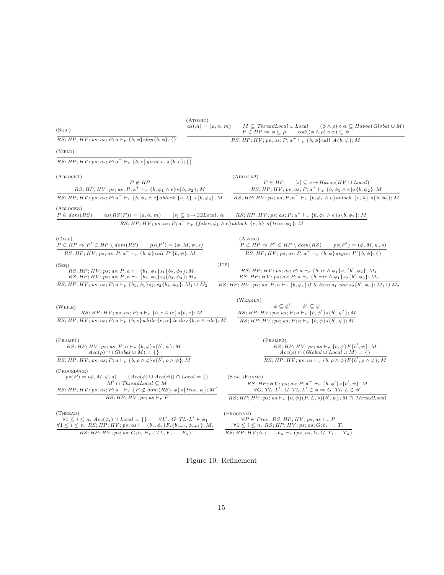| (SKIP)                                                                                                                                                                                                                                                                                                                            | (ATOMIC)<br>$as(A) = (\rho, \alpha, m)$<br>$M \subseteq ThreadLocal \cup Local$ $(\phi \land \rho) \circ \alpha \subseteq Have(Global \cup M)$<br>$P \in HP \Rightarrow \phi \subseteq \rho \qquad cod((\phi \land \rho) \circ \alpha) \subseteq \psi$                                                      |
|-----------------------------------------------------------------------------------------------------------------------------------------------------------------------------------------------------------------------------------------------------------------------------------------------------------------------------------|-------------------------------------------------------------------------------------------------------------------------------------------------------------------------------------------------------------------------------------------------------------------------------------------------------------|
| $RS; HP; HV; ps; as; P; a \vdash_r \{b, \phi\} skip\{b, \phi\}; \{\}$                                                                                                                                                                                                                                                             | RS; HP; HV; ps; as; P; $a^+ \vdash_r \{b, \phi\}$ call $A\{b, \psi\}$ ; M                                                                                                                                                                                                                                   |
| (Y <sub>IED</sub> )                                                                                                                                                                                                                                                                                                               |                                                                                                                                                                                                                                                                                                             |
| $RS; HP; HV; ps; as; P; a^- \vdash_r \{b, e\} yield e, \lambda \{b, e\}; \{\}$                                                                                                                                                                                                                                                    |                                                                                                                                                                                                                                                                                                             |
| (ABLOCK1)                                                                                                                                                                                                                                                                                                                         | (ABLOCK2)                                                                                                                                                                                                                                                                                                   |
| $P \not\in HP$ RS; HP; HV; ps; as; P; a <sup>+</sup> $\vdash_r \{b, \phi_1 \wedge e\} s \{b, \phi_2\}$ ; M                                                                                                                                                                                                                        | $P \in HP$ $[s] \subseteq e \rightarrow Havec(HV \cup Local)$<br>RS; HP; HV; ps; as; P; a <sup>+</sup> $\vdash_r \{b, \phi_1 \wedge e\}$ s $\{b, \phi_2\}$ ; M                                                                                                                                              |
| $RS; HP; HV; ps; as; P; a^- \vdash_r \{b, \phi_1 \wedge e\} ablock \{e, \lambda\} s\{b, \phi_2\}; M$                                                                                                                                                                                                                              | RS; HP; HV; ps; as; P; a <sup>-</sup> $\vdash_r \{b, \phi_1 \wedge e\}$ ablock $\{e, \lambda\}$ s $\{b, \phi_2\}$ ; M                                                                                                                                                                                       |
| (ABLOCK3)                                                                                                                                                                                                                                                                                                                         |                                                                                                                                                                                                                                                                                                             |
| $P \in dom(RS)$                                                                                                                                                                                                                                                                                                                   | $\label{eq:as} \mathit{as}(\mathit{RS}(P)) = (\rho, \alpha, m) \qquad [s] \subseteq e \ {\rightarrow}\ \exists \exists \mathit{Local}.\ \alpha \qquad \mathit{RS}; \mathit{HP}; \mathit{HV}; \mathit{ps}; \mathit{as}; \mathit{P}; \mathit{a^+}\vdash_r \{b, \phi_1 \wedge e\} s \{b, \phi_2\}; \mathit{M}$ |
|                                                                                                                                                                                                                                                                                                                                   | $RS; HP; HV; ps; as; P; a^- \vdash_r \{false, \phi_1 \wedge e\} \{triangle\} \{s\} \{true, \phi_2\}; M$                                                                                                                                                                                                     |
| (CALL)<br>$P \in HP \Rightarrow P' \in HP \setminus dom(RS)$ $ps(P') = (\phi, M, \psi, s)$<br>RS; HP; HV; ps; as; P; a <sup>-</sup> $\vdash$ <sub>r</sub> {b, $\phi$ } call P'{b, $\psi$ }; M                                                                                                                                     | (AsYNC)<br>$P \in HP \Rightarrow P' \in HP \setminus dom(RS)$ $ps(P') = (\phi, M, \psi, s)$<br>RS; HP; HV; ps; as; P; a <sup>-</sup> $\vdash_r \{b, \phi\}$ async $P'\{b, \phi\}$ ; {}                                                                                                                      |
| (SEQ)                                                                                                                                                                                                                                                                                                                             | (TTE)                                                                                                                                                                                                                                                                                                       |
| $RS; HP; HV; ps; as; P; a \vdash_r \{b_1, \phi_1\} s_1 \{b_2, \phi_2\}; M_1$<br>RS; HP; HV; ps; as; P; a $\vdash_r \{b_2, \phi_2\}$ s <sub>2</sub> $\{b_3, \phi_3\}$ ; M <sub>2</sub>                                                                                                                                             | RS; HP; HV; ps; as; P; a $\vdash_r \{b, le \wedge \phi_1\} s_1\{b', \phi_2\}$ ; M <sub>1</sub><br>RS; HP; HV; ps; as; P; a $\vdash_r \{b, \neg le \land \phi_1\}$ s <sub>2</sub> $\{b', \phi_2\}$ ; M <sub>2</sub>                                                                                          |
| $RS; HP; HV; ps; as; P; a \vdash_r \{b_1, \phi_1\} s_1; s_2\{b_3, \phi_3\}; M_1 \cup M_2$                                                                                                                                                                                                                                         | RS; HP; HV; ps; as; P; a $\vdash_r \{b, \phi_1\}$ if let hen $s_1$ else $s_2\{b', \phi_2\}$ ; $M_1 \cup M_2$                                                                                                                                                                                                |
|                                                                                                                                                                                                                                                                                                                                   | (WEAKEN)                                                                                                                                                                                                                                                                                                    |
| (WHILE)<br>$RS; HP; HV; ps; as; P; a \vdash_r \{b, e \wedge le\} s \{b, e\}; M$<br>$RS; HP; HV; ps; as; P; a \vdash_r \{b, e\} while \{e, \alpha\} \leq b \leq b \leq b, e \wedge \neg le\}; M$                                                                                                                                   | $\phi \subseteq \phi'$ $\psi' \subseteq \psi$<br>$\frac{RS;HP;HV;ps;as;P; a \vdash_r \overline{\{b,\phi'\}}s\{b',\psi'\};M}{RS;HP;HV;ps;as;P; a \vdash_r \{b,\phi\}\s{b',\psi\};M}$                                                                                                                         |
|                                                                                                                                                                                                                                                                                                                                   |                                                                                                                                                                                                                                                                                                             |
| (FRAME1)<br>RS; HP; HV; ps; as; P; a $\vdash_r \{b, \phi\} s \{b', \psi\}$ ; M<br>$Acc(\rho) \cap (Global \cup M) = \{\}$                                                                                                                                                                                                         | (FRAME2)<br>RS; HP; HV; ps; as $\vdash_r \{b, \phi\} F\{b', \psi\}$ ; M<br>$Acc(\rho) \cap (Global \cup Local \cup M) = \{\}$                                                                                                                                                                               |
| RS; HP; HV; ps; as; P; a $\vdash_r \{b, \rho \wedge \phi\} s \{b', \rho \wedge \psi\}$ ; M                                                                                                                                                                                                                                        | $RS; HP;HV;ps;as \vdash_r \{b,\rho \wedge \phi\}F\{b',\rho \wedge \psi\};M$                                                                                                                                                                                                                                 |
| (PROCEDURE)<br>$ps(P) = (\phi, M, \psi, s)$ $(Acc(\phi) \cup Acc(\psi)) \cap Local = \{\}$<br>$M' \cap ThreadLocal \subseteq M$<br>$RS; HP; HV; ps; as; P; a^- \vdash_r \{P \notin dom(RS), \phi\} s \{true, \psi\}; M'$<br>$RS$ ; HP; HV; ps; as $\vdash_r P$                                                                    | (STACKFRAME)<br>RS; HP; HV; ps; as; P; a <sup>-</sup> $\vdash_r \{b, \phi'\} s \{b', \psi\}$ ; M<br>$\forall G, TL, L'. G. TL L' \in \phi \Rightarrow G. TL L \in \phi'$<br>$RS; HP;HV;ps;as\vdash_r \{b,\phi\}(P,L,s)\{b',\psi\};M\cap ThreadLocal$                                                        |
| (THEAD)<br>$\forall 1 \leq i \leq n. \text{ Acc}(\phi_i) \cap \text{Local} = \{\} \qquad \forall L'. \text{ } G \cdot TL \cdot L' \in \phi_1$<br>$\forall 1 \leq i \leq n$ . RS; HP; HV; ps; as $\vdash_r \{b_i, \phi_i\} F_i \{b_{i+1}, \phi_{i+1}\}$ ; M <sub>i</sub><br>$RS; HP;HV;ps;as;G; b_1 \vdash_r (TL, F_1 \ldots F_n)$ | (PROGRAM)<br>$\forall P \in Proc. RS; HP; HV; ps; as \vdash_r P$<br>$\forall 1 \leq i \leq n$ . RS; HP; HV; ps; as; G; $b_i \vdash_r T_i$<br>$RS; HP; HV; b_1; \ldots; b_n \vdash_r (ps, as, ls, G, T_1 \ldots T_n)$                                                                                        |

Figure 10: Refinement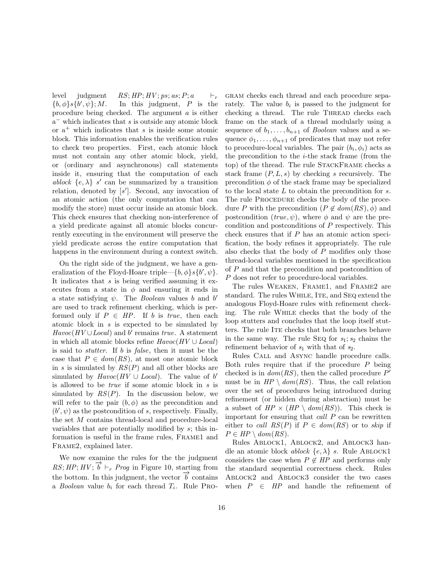level judgment  $RS; HP;HV;ps;as;P; a \rightharpoonup_r$  $\{b, \phi\} s \{b', \psi\}; M$ . In this judgment,  $P$  is the procedure being checked. The argument *a* is either  $a^-$  which indicates that *s* is outside any atomic block or a<sup>+</sup> which indicates that *s* is inside some atomic block. This information enables the verification rules to check two properties. First, each atomic block must not contain any other atomic block, yield, or (ordinary and asynchronous) call statements inside it, ensuring that the computation of each *ablock*  $\{e, \lambda\}$  *s'* can be summarized by a transition relation, denoted by [s']. Second, any invocation of an atomic action (the only computation that can modify the store) must occur inside an atomic block. This check ensures that checking non-interference of a yield predicate against all atomic blocks concurrently executing in the environment will preserve the yield predicate across the entire computation that happens in the environment during a context switch.

On the right side of the judgment, we have a generalization of the Floyd-Hoare triple— $\{b, \phi\} s \{b', \psi\}.$ It indicates that *s* is being verified assuming it executes from a state in  $\phi$  and ensuring it ends in a state satisfying  $\psi$ . The *Boolean* values *b* and *b*<sup> $\theta$ </sup> are used to track refinement checking, which is performed only if  $P \in HP$ . If *b* is *true*, then each atomic block in *s* is expected to be simulated by  $Havoc(HV \cup Local)$  and *b'* remains *true*. A statement in which all atomic blocks refine  $Havoc(HV \cup Local)$ is said to *stutter*. If *b* is *false*, then it must be the case that  $P \in dom(RS)$ , at most one atomic block in *s* is simulated by *RS*(*P*) and all other blocks are simulated by  $Havoc(HV \cup Local)$ . The value of *b*<sup> $\prime$ </sup> is allowed to be *true* if some atomic block in *s* is simulated by  $RS(P)$ . In the discussion below, we will refer to the pair  $(b, \phi)$  as the precondition and  $(b', \psi)$  as the postcondition of *s*, respectively. Finally, the set *M* contains thread-local and procedure-local variables that are potentially modified by *s*; this information is useful in the frame rules, FRAME1 and FRAME<sub>2</sub>, explained later.

We now examine the rules for the the judgment  $RS; HP;HV; \overrightarrow{b} \vdash_r Prog$  in Figure 10, starting from the bottom. In this judgment, the vector  $\overrightarrow{b}$  contains a *Boolean* value  $b_i$  for each thread  $T_i$ . Rule Program checks each thread and each procedure separately. The value  $b_i$  is passed to the judgment for checking a thread. The rule THREAD checks each frame on the stack of a thread modularly using a sequence of  $b_1, \ldots, b_{n+1}$  of *Boolean* values and a sequence  $\phi_1, \ldots, \phi_{n+1}$  of predicates that may not refer to procedure-local variables. The pair  $(b_i, \phi_i)$  acts as the precondition to the *i*-the stack frame (from the top) of the thread. The rule STACKFRAME checks a stack frame (*P, L, s*) by checking *s* recursively. The precondition  $\phi$  of the stack frame may be specialized to the local state *L* to obtain the precondition for *s*. The rule PROCEDURE checks the body of the procedure P with the precondition  $(P \notin dom(RS), \phi)$  and postcondition (*true*,  $\psi$ ), where  $\phi$  and  $\psi$  are the precondition and postconditions of *P* respectively. This check ensures that if *P* has an atomic action specification, the body refines it appropriately. The rule also checks that the body of *P* modifies only those thread-local variables mentioned in the specification of *P* and that the precondition and postcondition of *P* does not refer to procedure-local variables.

The rules Weaken, Frame1, and Frame2 are standard. The rules WHILE, ITE, and SEQ extend the analogous Floyd-Hoare rules with refinement checking. The rule While checks that the body of the loop stutters and concludes that the loop itself stutters. The rule Ite checks that both branches behave in the same way. The rule SEQ for  $s_1$ ;  $s_2$  chains the refinement behavior of  $s_1$  with that of  $s_2$ .

Rules CALL and ASYNC handle procedure calls. Both rules require that if the procedure *P* being checked is in  $dom(RS)$ , then the called procedure  $P'$ must be in  $HP \setminus dom(RS)$ . Thus, the call relation over the set of procedures being introduced during refinement (or hidden during abstraction) must be a subset of  $HP \times (HP \setminus dom(RS))$ . This check is important for ensuring that *call P* can be rewritten either to *call RS*(*P*) if  $P \in dom(RS)$  or to *skip* if  $P \in HP \setminus dom(RS)$ .

Rules Ablock1, Ablock2, and Ablock3 handle an atomic block *ablock*  $\{e, \lambda\}$  *s*. Rule ABLOCK1 considers the case when  $P \notin HP$  and performs only the standard sequential correctness check. Rules Ablock2 and Ablock3 consider the two cases when  $P \in HP$  and handle the refinement of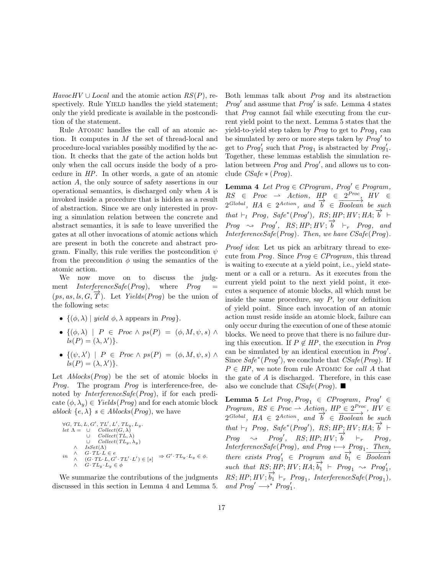*HavocHV*  $\cup$  *Local* and the atomic action *RS*(*P*), respectively. Rule Yield handles the yield statement; only the yield predicate is available in the postcondition of the statement.

Rule Atomic handles the call of an atomic action. It computes in *M* the set of thread-local and procedure-local variables possibly modified by the action. It checks that the gate of the action holds but only when the call occurs inside the body of a procedure in *HP*. In other words, a gate of an atomic action *A*, the only source of safety assertions in our operational semantics, is discharged only when *A* is invoked inside a procedure that is hidden as a result of abstraction. Since we are only interested in proving a simulation relation between the concrete and abstract semantics, it is safe to leave unverified the gates at all other invocations of atomic actions which are present in both the concrete and abstract program. Finally, this rule verifies the postcondition  $\psi$ from the precondition  $\phi$  using the semantics of the atomic action.

We now move on to discuss the judgment *InterferenceSafe(Prog)*, where  $Prog$  $(ps, as, ls, G, \overrightarrow{T})$ . Let *Yields*(*Prog*) be the union of the following sets:

- $\{(\phi, \lambda) \mid \text{yield } \phi, \lambda \text{ appears in } Prog\}.$
- $\{(\phi, \lambda) \mid P \in \text{Proc} \land \text{ps}(P) = (\phi, M, \psi, s) \land$  $ls(P) = (\lambda, \lambda')\}.$
- $\{(\psi, \lambda') \mid P \in \text{Proc} \land \text{ps}(P) = (\phi, M, \psi, s) \land \emptyset\}$  $ls(P) = (\lambda, \lambda')\}.$

Let *Ablocks*(*Prog*) be the set of atomic blocks in *Prog*. The program *Prog* is interference-free, denoted by *InterferenceSafe*(*Prog*), if for each predicate  $(\phi, \lambda_y) \in Yields(Prog)$  and for each atomic block *ablock*  $\{e, \lambda\}$   $s \in \text{Ablocks}(\text{Prog})$ , we have

$$
\begin{array}{l} \forall G,\, TL,\, L,\, G',\, TL',\, L',\, TL_y,\, L_y,\\ let\ \Lambda=\quad \cup\quad \text{Collect}\, (G,\,\lambda)\\ \quad \cup\quad \text{Collect}\, (TL,\,\lambda)\\ \quad \wedge\quad \text{IsSet}(\Lambda)\\ \quad \wedge\quad G\cdot TL\cdot L\in e\\ \quad \, \wedge\quad \ (G\cdot TL\cdot L,\, G'\cdot TL'\cdot L')\in [s]\quad \Rightarrow G'\cdot TL_y\cdot L_y\in \phi.\\ \quad \wedge\quad \ G\cdot TL_y\cdot L_y\in \phi \end{array}
$$

We summarize the contributions of the judgments discussed in this section in Lemma 4 and Lemma 5. Both lemmas talk about *Prog* and its abstraction *Prog*<sup> $\prime$ </sup> and assume that *Prog*<sup> $\prime$ </sup> is safe. Lemma 4 states that *Prog* cannot fail while executing from the current yield point to the next. Lemma 5 states that the yield-to-yield step taken by *Prog* to get to *Prog*<sub>1</sub> can be simulated by zero or more steps taken by *Prog'* to get to  $Prog'_1$  such that  $Prog_1$  is abstracted by  $Prog'_1$ . Together, these lemmas establish the simulation relation between *Prog* and *Prog'*, and allows us to conclude  $CSafe * (Prog)$ .

**Lemma 4** Let  $Prog \in CProgram$ ,  $Prog' \in Program$ ,  $RS \in Proc \rightarrow Action, HP \in 2^{Proc}, HV \in$  $2^{Global}$ ,  $HA \in 2^{Action}$ , and  $\overrightarrow{b} \in \overrightarrow{Boolean}$  be such  $that$   $\vdash_l$   $Prog$ *,*  $Safe^*(Prog')$ *, RS*; *HP*; *HV*; *HA*;  $\overrightarrow{b}$   $\vdash$  $Prog \sim Prog', RS; HP; HV; \overrightarrow{b} \vdash_r Prog, and$ *InterferenceSafe*(*Prog*)*. Then, we have CSafe*(*Prog*)*.*

*Proof idea*: Let us pick an arbitrary thread to execute from *Prog.* Since  $Prog \in CProgram$ , this thread is waiting to execute at a yield point, i.e., yield statement or a call or a return. As it executes from the current yield point to the next yield point, it executes a sequence of atomic blocks, all which must be inside the same procedure, say *P*, by our definition of yield point. Since each invocation of an atomic action must reside inside an atomic block, failure can only occur during the execution of one of these atomic blocks. We need to prove that there is no failure during this execution. If  $P \notin HP$ , the execution in *Prog* can be simulated by an identical execution in *Prog'*. Since  $Safe^*(Prog')$ , we conclude that  $CSafe(Prog)$ . If  $P \in HP$ , we note from rule ATOMIC for *call A* that the gate of *A* is discharged. Therefore, in this case also we conclude that  $CSafe(Prog)$ .

**Lemma 5** Let  $Prog_1 \in CProgram$ ,  $Prog' \in$ *Program, RS*  $\in$  *Proc*  $\rightarrow$  *Action, HP*  $\in$  2<sup>*Proc*</sup>, HV</sup>  $2^{Global}$ *, HA*  $\in$   $2^{Action}$ *, and*  $\overrightarrow{b}$   $\in$   $\overrightarrow{Boolean}$  be such  $that$   $\vdash_l$   $Prog$ *,*  $Safe^*(Prog')$ *, RS*;  $HP^i$ <sub>;</sub>  $HV$ ;  $HA$ ;  $\overrightarrow{b}$   $\vdash$  $\begin{array}{ccc} \mathit{Prog} & \leadsto & \mathit{Prog}', & \mathit{RS}; \mathit{HP}; \mathit{HV}; \overrightarrow{b} & \vdash_r & \mathit{Prog}, \end{array}$ *InterferenceSafe*( $Prog$ ), and  $Prog \rightarrow Prog_1$ . Then, *there exists Prog*<sup>1</sup>  $\in$  *Program and*  $\overrightarrow{b_1} \in$  *Boolean* such that  $RS$ ;  $HP$ ;  $HV$ ;  $HA$ ;  $\overrightarrow{b_1}$   $\vdash$   $Prog_1 \rightsquigarrow$   $Prog'_1$ ,  $RS$ ;  $HP$ ;  $HV$ ;  $\overrightarrow{b_1} \vdash_r Prog_1$ , InterferenceSafe( $Prog_1$ ),  $and Prog' \rightarrow^* Prog'_1.$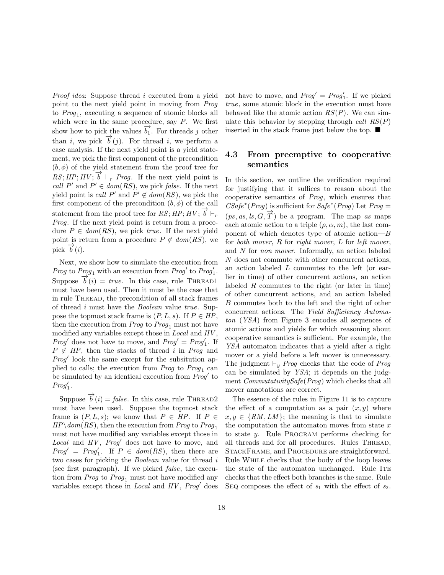*Proof idea*: Suppose thread *i* executed from a yield point to the next yield point in moving from *Prog* to *Prog*1, executing a sequence of atomic blocks all which were in the same procedure, say *P*. We first show how to pick the values  $\overrightarrow{b_1}$ . For threads *j* other than *i*, we pick  $\overline{b}(j)$ . For thread *i*, we perform a case analysis. If the next yield point is a yield statement, we pick the first component of the precondition  $(b, \phi)$  of the yield statement from the proof tree for  $RS; HP; HV; \overrightarrow{b} \vdash_r Prog.$  If the next yield point is *call*  $P'$  and  $P' \in dom(RS)$ , we pick *false*. If the next yield point is *call*  $P'$  and  $P' \notin dom(RS)$ , we pick the first component of the precondition  $(b, \phi)$  of the call statement from the proof tree for  $RS$ ;  $HP$ ;  $HV$ ;  $\overrightarrow{b}$   $\vdash$ <sub>r</sub> *Prog*. If the next yield point is return from a procedure  $P \in dom(RS)$ , we pick *true*. If the next yield point is return from a procedure  $P \notin dom(RS)$ , we pick  $\overline{b}(i)$ .

Next, we show how to simulate the execution from *Prog* to  $Prog_1$  with an execution from  $Prog'$  to  $Prog'_1$ . Suppose  $\overrightarrow{b}(i) = true$ . In this case, rule THREAD1 must have been used. Then it must be the case that in rule Thread, the precondition of all stack frames of thread *i* must have the *Boolean* value *true*. Suppose the topmost stack frame is  $(P, L, s)$ . If  $P \in HP$ , then the execution from *Prog* to *Prog*<sub>1</sub> must not have modified any variables except those in *Local* and *HV* , *Prog*<sup> $\prime$ </sup> does not have to move, and  $Prog' = Prog'_{1}$ . If  $P \notin HP$ , then the stacks of thread *i* in *Prog* and *Prog*<sup>'</sup> look the same except for the subsitution applied to calls; the execution from  $Prog$  to  $Prog_1$  can be simulated by an identical execution from *Prog*<sup>'</sup> to  $Prog'_1.$ 

Suppose  $\overline{b}(i) = false$ . In this case, rule THREAD2 must have been used. Suppose the topmost stack frame is  $(P, L, s)$ ; we know that  $P \in HP$ . If  $P \in$  $HP \cdot dom(RS)$ , then the execution from *Prog* to *Prog*<sub>1</sub> must not have modified any variables except those in *Local* and *HV*, *Prog*<sup> $\prime$ </sup> does not have to move, and  $Prog' = Prog'_1$ . If  $P \in dom(RS)$ , then there are two cases for picking the *Boolean* value for thread *i* (see first paragraph). If we picked *false*, the execution from *Prog* to *Prog*<sub>1</sub> must not have modified any variables except those in *Local* and  $HV$ ,  $Prog'$  does

not have to move, and  $Prog' = Prog'_{1}$ . If we picked *true*, some atomic block in the execution must have behaved like the atomic action  $RS(P)$ . We can simulate this behavior by stepping through *call RS*(*P*) inserted in the stack frame just below the top.  $\blacksquare$ 

### 4.3 From preemptive to cooperative semantics

In this section, we outline the verification required for justifying that it suffices to reason about the cooperative semantics of *Prog*, which ensures that  $CSafe^*(Prog)$  is sufficient for  $Safe^*(Prog)$  Let  $Prog =$  $(ps, as, ls, G, \overline{T})$  be a program. The map *as* maps each atomic action to a triple  $(\rho, \alpha, m)$ , the last component of which denotes type of atomic action—*B* for *both mover*, *R* for *right mover*, *L* for *left mover*, and *N* for *non mover*. Informally, an action labeled *N* does not commute with other concurrent actions, an action labeled *L* commutes to the left (or earlier in time) of other concurrent actions, an action labeled *R* commutes to the right (or later in time) of other concurrent actions, and an action labeled *B* commutes both to the left and the right of other concurrent actions. The *Yield Sufficiency Automaton* (*YSA*) from Figure 3 encodes all sequences of atomic actions and yields for which reasoning about cooperative semantics is sufficient. For example, the *YSA* automaton indicates that a yield after a right mover or a yield before a left mover is unnecessary. The judgment  $\vdash_u$  *Prog* checks that the code of *Prog* can be simulated by *YSA*; it depends on the judgment *CommutativitySafe*(*Prog*) which checks that all mover annotations are correct.

The essence of the rules in Figure 11 is to capture the effect of a computation as a pair  $(x, y)$  where  $x, y \in \{RM, LM\}$ ; the meaning is that to simulate the computation the automaton moves from state *x* to state *y*. Rule Program performs checking for all threads and for all procedures. Rules THREAD, STACKFRAME, and PROCEDURE are straightforward. Rule While checks that the body of the loop leaves the state of the automaton unchanged. Rule ITE checks that the effect both branches is the same. Rule SEQ composes the effect of  $s_1$  with the effect of  $s_2$ .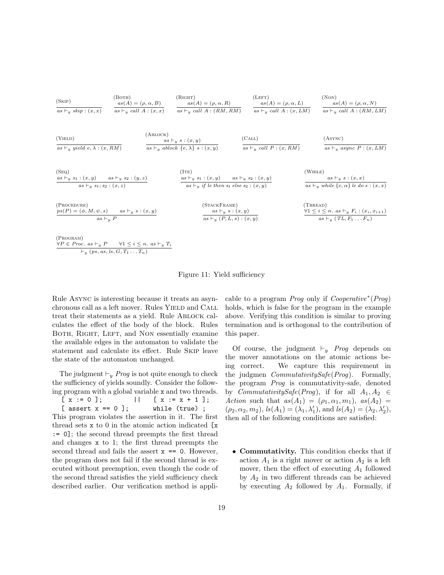

Figure 11: Yield sufficiency

Rule Async is interesting because it treats an asynchronous call as a left mover. Rules YIELD and CALL treat their statements as a yield. Rule Ablock calculates the effect of the body of the block. Rules BOTH, RIGHT, LEFT, and NON essentially examine the available edges in the automaton to validate the statement and calculate its effect. Rule SKIP leave the state of the automaton unchanged.

The judgment  $\vdash_y$  *Prog* is not quite enough to check the sufficiency of yields soundly. Consider the following program with a global variable x and two threads.

 $[x := 0];$  $[$  assert  $x == 0]$ ;  $|| \quad [ x := x + 1 ];$ while (true) ; This program violates the assertion in it. The first thread sets x to 0 in the atomic action indicated [x := 0]; the second thread preempts the first thread and changes x to 1; the first thread preempts the second thread and fails the assert  $x == 0$ . However, the program does not fail if the second thread is executed without preemption, even though the code of the second thread satisfies the yield sufficiency check described earlier. Our verification method is applicable to a program *Prog* only if *Cooperative*⇤(*Prog*) holds, which is false for the program in the example above. Verifying this condition is similar to proving termination and is orthogonal to the contribution of this paper.

Of course, the judgment  $\vdash_y$  *Prog* depends on the mover annotations on the atomic actions being correct. We capture this requirement in the judgmen *CommutativitySafe*(*Prog*). Formally, the program *Prog* is commutativity-safe, denoted by *CommutativitySafe(Prog)*, if for all  $A_1, A_2 \in$ *Action* such that  $as(A_1)=(\rho_1,\alpha_1,m_1), \; as(A_2)$  =  $(\rho_2, \alpha_2, m_2), \, ls(A_1) = (\lambda_1, \lambda'_1), \, \text{and } ls(A_2) = (\lambda_2, \lambda'_2),$ then all of the following conditions are satisfied:

*•* Commutativity. This condition checks that if action  $A_1$  is a right mover or action  $A_2$  is a left mover, then the effect of executing  $A_1$  followed by  $A_2$  in two different threads can be achieved by executing *A*<sup>2</sup> followed by *A*1. Formally, if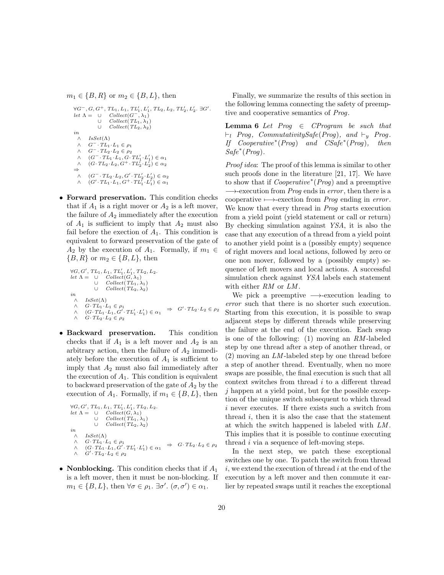$m_1 \in \{B, R\}$  or  $m_2 \in \{B, L\}$ , then

```
\forall G^{-}, G, G^{+}, TL_1, L_1, TL'_1, L'_1, TL_2, L_2, TL'_2, L'_2. \exists G'.let \Lambda = \cup \text{Collect}(G^{-}, \lambda_1)<br>
\cup \text{Collect}(TL_1, \lambda_1)\cup Collect(TL_2, \lambda_2)
in
  \wedge IsSet(\Lambda)<br>\wedge G<sup>-</sup> · TL<sub>1</sub>
  \wedge G^- \cdot TL_1 \cdot L_1 \in \rho_1<br>\wedge G^- \cdot TL_2 \cdot L_2 \in \rho_2\wedge G^- \cdot TL_2 \cdot L_2 \in \rho_2\wedge (G^- \cdot TL_1 \cdot L_1, G \cdot TL_1' \cdot L_1') \in \alpha_1\wedge (G \cdot TL_2 \cdot L_2, G^+ \cdot TL'_2 \cdot L'_2) \in \alpha_2\Rightarrow\wedge (G^- \cdot TL_2 \cdot L_2, G' \cdot TL_2' \cdot L_2') \in \alpha_2<br>\wedge (G' \cdot TL_1 \cdot L_1, G^+ \cdot TL_1' \cdot L_1') \in \alpha_1
```
• Forward preservation. This condition checks that if  $A_1$  is a right mover or  $A_2$  is a left mover, the failure of  $A_2$  immediately after the execution of  $A_1$  is sufficient to imply that  $A_2$  must also fail before the exection of  $A_1$ . This condition is equivalent to forward preservation of the gate of  $A_2$  by the execution of  $A_1$ . Formally, if  $m_1 \in$  ${B, R}$  or  $m_2 \in {B, L}$ , then

 $\forall G, G', TL_1, L_1, TL'_1, L'_1, TL_2, L_2.$ *let*  $\Lambda = \bigcup_{\bigcup} Collect(G, \lambda_1)$ <br>*Collect*(*TL*<sub>1</sub>,  $\lambda$  $\cup$  *Collect*(*TL*<sub>1</sub>*,*  $\lambda$ <sub>1</sub>)<br> $\cup$  *Collect*(*TL*<sub>2</sub>*,*  $\lambda$ <sub>2</sub>)  $Collect(TL_2, \lambda_2)$ *in*  $\wedge$  *IsSet*( $\Lambda$ )<br> $\wedge$  *G*·*TL*<sub>1</sub>·*I*  $\wedge$   $G \cdot TL_1 \cdot L_1 \in \rho_1$  $\wedge$   $(G \cdot TL_1 \cdot L_1, G' \cdot TL'_1 \cdot L'_1) \in \alpha_1$  $\wedge$   $G \cdot TL_2 \cdot L_2 \in \rho_2$  $\Rightarrow$   $G' \cdot TL_2 \cdot L_2 \in \rho_2$ 

• Backward preservation. This condition checks that if  $A_1$  is a left mover and  $A_2$  is an arbitrary action, then the failure of  $A_2$  immediately before the execution of  $A_1$  is sufficient to imply that *A*<sup>2</sup> must also fail immediately after the execution of  $A_1$ . This condition is equivalent to backward preservation of the gate of *A*<sup>2</sup> by the execution of  $A_1$ . Formally, if  $m_1 \in \{B, L\}$ , then

$$
\forall G, G', TL_1, L_1, TL'_1, L'_1, TL_2, L_2.
$$
\nlet  $\Lambda = \bigcup_{U} \text{Collect}(G, \lambda_1)$   
\n $\cup \text{ Collect}(TL_1, \lambda_1)$   
\n $\vdots$   
\n $\land \text{ ISSet}(\Lambda)$   
\n $\land \text{ G} \cdot TL_1 \cdot L_1 \in \rho_1$   
\n $\land \text{ G} \cdot TL_1 \cdot L_1 \in \rho_1$   
\n $\land \text{ G} \cdot TL_1 \cdot L_1, G' \cdot TL'_1 \cdot L'_1) \in \alpha_1 \Rightarrow G \cdot TL_2 \cdot L_2 \in \rho_2$ 

*•* Nonblocking. This condition checks that if *A*<sup>1</sup> is a left mover, then it must be non-blocking. If  $m_1 \in \{B, L\}$ , then  $\forall \sigma \in \rho_1$ .  $\exists \sigma'. (\sigma, \sigma') \in \alpha_1$ .

Finally, we summarize the results of this section in the following lemma connecting the safety of preemptive and cooperative semantics of *Prog*.

**Lemma 6** Let Prog  $\in$  CProgram be such that  $\vdash_l$  *Prog, CommutativitySafe(Prog), and*  $\vdash_u$  *Prog. If Cooperative*⇤(*Prog*) *and CSafe*⇤(*Prog*)*, then Safe*⇤(*Prog*)*.*

*Proof idea*: The proof of this lemma is similar to other such proofs done in the literature [21, 17]. We have to show that if *Cooperative*<sup>\*</sup>(*Prog*) and a preemptive  $\rightarrow$ -execution from *Prog* ends in *error*, then there is a cooperative  $\rightarrow$ -exection from *Prog* ending in *error*. We know that every thread in *Prog* starts execution from a yield point (yield statement or call or return) By checking simulation against *YSA*, it is also the case that any execution of a thread from a yield point to another yield point is a (possibly empty) sequence of right movers and local actions, followed by zero or one non mover, followed by a (possibly empty) sequence of left movers and local actions. A successful simulation check against *YSA* labels each statement with either *RM* or *LM* .

We pick a preemptive  $\longrightarrow$ -execution leading to *error* such that there is no shorter such execution. Starting from this execution, it is possible to swap adjacent steps by different threads while preserving the failure at the end of the execution. Each swap is one of the following: (1) moving an *RM* -labeled step by one thread after a step of another thread, or (2) moving an *LM* -labeled step by one thread before a step of another thread. Eventually, when no more swaps are possible, the final execution is such that all context switches from thread *i* to a different thread *j* happen at a yield point, but for the possible exception of the unique switch subsequent to which thread *i* never executes. If there exists such a switch from thread *i*, then it is also the case that the statement at which the switch happened is labeled with *LM* . This implies that it is possible to continue executing thread *i* via a sequence of left-moving steps.

In the next step, we patch these exceptional switches one by one. To patch the switch from thread *i*, we extend the execution of thread *i* at the end of the execution by a left mover and then commute it earlier by repeated swaps until it reaches the exceptional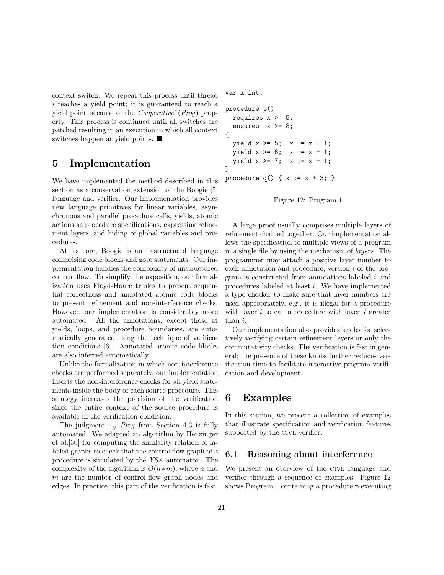context switch. We repeat this process until thread *i* reaches a yield point; it is guaranteed to reach a yield point because of the *Cooperative*<sup>*\**</sup>(*Prog*) property. This process is continued until all switches are patched resulting in an execution in which all context switches happen at yield points.  $\blacksquare$ 

### 5 Implementation

We have implemented the method described in this section as a conservation extension of the Boogie [5] language and verifier. Our implementation provides new language primitives for linear variables, asynchronous and parallel procedure calls, yields, atomic actions as procedure specifications, expressing refinement layers, and hiding of global variables and procedures.

At its core, Boogie is an unstructured language comprising code blocks and goto statements. Our implementation handles the complexity of unstructured control flow. To simplify the exposition, our formalization uses Floyd-Hoare triples to present sequential correctness and annotated atomic code blocks to present refinement and non-interference checks. However, our implementation is considerably more automated. All the annotations, except those at yields, loops, and procedure boundaries, are automatically generated using the technique of verification conditions [6]. Annotated atomic code blocks are also inferred automatically.

Unlike the formalization in which non-interference checks are performed separately, our implementation inserts the non-interference checks for all yield statements inside the body of each source procedure. This strategy increases the precision of the verification since the entire context of the source procedure is available in the verification condition.

The judgment  $\vdash_y$  *Prog* from Section 4.3 is fully automated. We adapted an algorithm by Henzinger et al.[30] for computing the similarity relation of labeled graphs to check that the control flow graph of a procedure is simulated by the *YSA* automaton. The complexity of the algorithm is  $O(n*m)$ , where *n* and *m* are the number of control-flow graph nodes and edges. In practice, this part of the verification is fast. var x:int;

```
procedure p()
  requires x \ge 5;
  ensures x \ge 8;
{
  yield x \ge 5; x := x + 1;
  yield x \ge 6; x := x + 1;
  yield x \ge 7; x := x + 1;
}
procedure q() \{ x := x + 3; \}
```


A large proof usually comprises multiple layers of refinement chained together. Our implementation allows the specification of multiple views of a program in a single file by using the mechanism of *layers*. The programmer may attach a positive layer number to each annotation and procedure; version *i* of the program is constructed from annotations labeled *i* and procedures labeled at least *i*. We have implemented a type checker to make sure that layer numbers are used appropriately, e.g., it is illegal for a procedure with layer *i* to call a procedure with layer *j* greater than *i*.

Our implementation also provides knobs for selectively verifying certain refinement layers or only the commutativity checks. The verification is fast in general; the presence of these knobs further reduces verification time to facilitate interactive program verification and development.

## 6 Examples

In this section, we present a collection of examples that illustrate specification and verification features supported by the CIVL verifier.

### 6.1 Reasoning about interference

We present an overview of the CIVL language and verifier through a sequence of examples. Figure 12 shows Program 1 containing a procedure p executing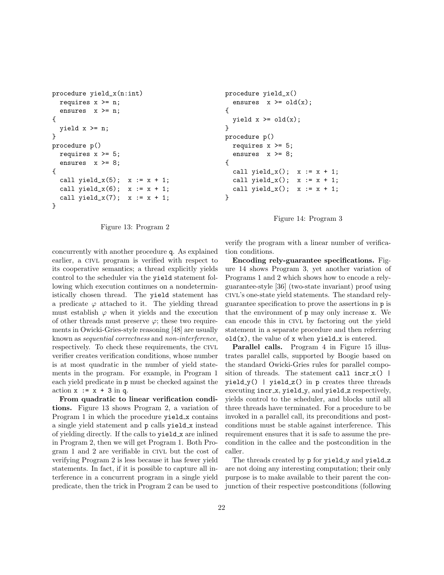```
procedure yield_x(n:int)
  requires x >= n;
  ensures x >= n;
{
  yield x \geq n;
}
procedure p()
 requires x \ge 5;
  ensures x \ge 8;
{
  call yield_x(5); x := x + 1;
  call yield_x(6); x := x + 1;
  call yield_x(7); x := x + 1;
}
```

```
procedure yield_x()
  ensures x \geq 0 \, \text{ld}(x);
{
  yield x \geq 0ld(x);
}
procedure p()
  requires x \ge 5;
  ensures x \ge 8;
{
  call yield_x(); x := x + 1;
  call yield_x(); x := x + 1;
  call yield_x(); x := x + 1;
}
```


concurrently with another procedure q. As explained earlier, a CIVL program is verified with respect to its cooperative semantics; a thread explicitly yields control to the scheduler via the yield statement following which execution continues on a nondeterministically chosen thread. The yield statement has a predicate  $\varphi$  attached to it. The yielding thread must establish  $\varphi$  when it yields and the execution of other threads must preserve  $\varphi$ ; these two requirements in Owicki-Gries-style reasoning [48] are usually known as *sequential correctness* and *non-interference*, respectively. To check these requirements, the CIVL verifier creates verification conditions, whose number is at most quadratic in the number of yield statements in the program. For example, in Program 1 each yield predicate in p must be checked against the action  $x := x + 3$  in q.

From quadratic to linear verification conditions. Figure 13 shows Program 2, a variation of Program 1 in which the procedure yield x contains a single yield statement and p calls yield x instead of yielding directly. If the calls to yield x are inlined in Program 2, then we will get Program 1. Both Program 1 and 2 are verifiable in CIVL but the cost of verifying Program 2 is less because it has fewer yield statements. In fact, if it is possible to capture all interference in a concurrent program in a single yield predicate, then the trick in Program 2 can be used to



verify the program with a linear number of verification conditions.

Encoding rely-guarantee specifications. Figure 14 shows Program 3, yet another variation of Programs 1 and 2 which shows how to encode a relyguarantee-style [36] (two-state invariant) proof using civl's one-state yield statements. The standard relyguarantee specification to prove the assertions in p is that the environment of p may only increase x. We can encode this in CIVL by factoring out the yield statement in a separate procedure and then referring  $old(x)$ , the value of x when yield x is entered.

Parallel calls. Program 4 in Figure 15 illustrates parallel calls, supported by Boogie based on the standard Owicki-Gries rules for parallel composition of threads. The statement call  $incr_x()$ yield\_y() | yield\_z() in  $p$  creates three threads executing incr\_x, yield\_y, and yield\_z respectively, yields control to the scheduler, and blocks until all three threads have terminated. For a procedure to be invoked in a parallel call, its preconditions and postconditions must be stable against interference. This requirement ensures that it is safe to assume the precondition in the callee and the postcondition in the caller.

The threads created by p for yield\_y and yield\_z are not doing any interesting computation; their only purpose is to make available to their parent the conjunction of their respective postconditions (following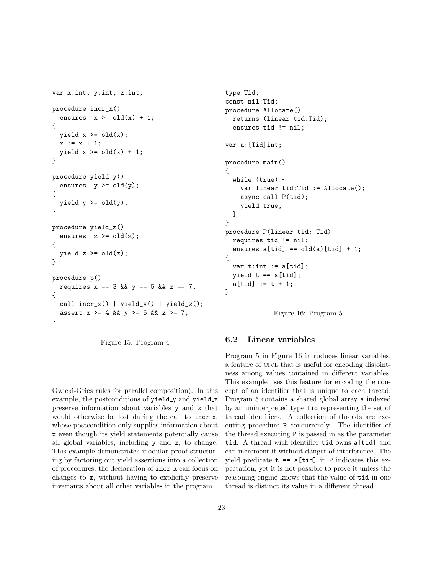```
var x:int, y:int, z:int;
procedure incr_x()
  ensures x \geq 0 \, \text{dd}(x) + 1;
{
  yield x \geq 0ld(x);
  x := x + 1;yield x \geq 0ld(x) + 1;
}
procedure yield_y()
  ensures y \geq 0 \, \text{Id}(y);
{
  yield y \geq 0ld(y);
}
procedure yield_z()
  ensures z \geq 0 \, \text{ld}(z);
{
  yield z \geq 0ld(z);
}
procedure p()
  requires x == 3 & y == 5 & z == 7;
{
  call incr_x() | yield_y() | yield_z();
  assert x \ge 4 & y \ge 5 & z \ge 7;
}
```


Owicki-Gries rules for parallel composition). In this example, the postconditions of yield\_y and yield\_z preserve information about variables y and z that would otherwise be lost during the call to incr\_x, whose postcondition only supplies information about x even though its yield statements potentially cause all global variables, including y and z, to change. This example demonstrates modular proof structuring by factoring out yield assertions into a collection of procedures; the declaration of incr x can focus on changes to x, without having to explicitly preserve invariants about all other variables in the program.

```
type Tid;
const nil:Tid;
procedure Allocate()
  returns (linear tid:Tid);
  ensures tid != nil;
var a:[Tid]int;
procedure main()
{
  while (true) {
    var linear tid:Tid := Allocate();
    async call P(tid);
    yield true;
  }
}
procedure P(linear tid: Tid)
  requires tid != nil;
  ensures a[tid] == old(a)[tid] + 1;{
  var t:int := a[tid];
  yield t = a[tid];
  a[tid] := t + 1;}
```
Figure 16: Program 5

### 6.2 Linear variables

Program 5 in Figure 16 introduces linear variables, a feature of CIVL that is useful for encoding disjointness among values contained in different variables. This example uses this feature for encoding the concept of an identifier that is unique to each thread. Program 5 contains a shared global array a indexed by an uninterpreted type Tid representing the set of thread identifiers. A collection of threads are executing procedure P concurrently. The identifier of the thread executing P is passed in as the parameter tid. A thread with identifier tid owns a[tid] and can increment it without danger of interference. The yield predicate  $t = a[tid]$  in P indicates this expectation, yet it is not possible to prove it unless the reasoning engine knows that the value of tid in one thread is distinct its value in a different thread.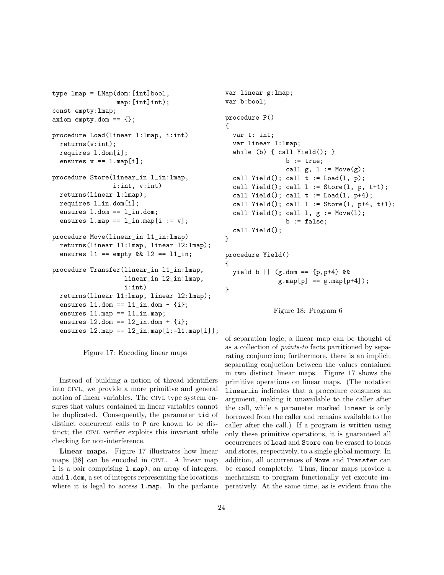```
type lmap = LMap(dom:[int]bool,
                  map:[int]int);
const empty:lmap;
axiom empty.dom == \{\};
procedure Load(linear l:lmap, i:int)
  returns(v:int);
  requires l.dom[i];
  ensures v == 1.\text{map}[i];procedure Store(linear_in l_in:lmap,
                 i:int, v:int)
  returns(linear l:lmap);
  requires l_in.dom[i];
  ensures l.dom == l_in.dom;
  ensures l.\texttt{map} == l_\texttt{in}.\texttt{map}[i := v];procedure Move(linear_in l1_in:lmap)
  returns(linear l1:lmap, linear l2:lmap);
  ensures 11 == empty && 12 == 11_in;procedure Transfer(linear_in l1_in:lmap,
                    linear_in l2_in:lmap,
                    i:int)
  returns(linear l1:lmap, linear l2:lmap);
  ensures 11.dom == 11_in.dom - \{i\};
  ensures 11.png == 11_in.map;
  ensures 12. dom == 12_in.dom + \{i\};
  ensures 12.png = 12_in.map[i:=l1.png];
```
Figure 17: Encoding linear maps

Instead of building a notion of thread identifiers into civl, we provide a more primitive and general notion of linear variables. The CIVL type system ensures that values contained in linear variables cannot be duplicated. Consequently, the parameter tid of distinct concurrent calls to P are known to be distinct; the CIVL verifier exploits this invariant while checking for non-interference.

Linear maps. Figure 17 illustrates how linear maps [38] can be encoded in CIVL. A linear map l is a pair comprising l.map), an array of integers, and l.dom, a set of integers representing the locations where it is legal to access l.map. In the parlance

```
var linear g:lmap;
var b:bool;
procedure P()
{
  var t: int;
  var linear l:lmap;
  while (b) { call Yield(); }
                 b := true;call g, 1 := Move(g);
  call Yield(); call t := Load(1, p);
  call Yield(); call l := Store(1, p, t+1);
  call Yield(); call t := Load(1, p+4);
  call Yield(); call l := Store(1, p+4, t+1);
  call Yield(); call l, g := Move(1);
                 b := false;call Yield();
}
procedure Yield()
{
  yield b || (g.dom == {p,p+4} %g.\text{map}[p] == g.\text{map}[p+4];
}
```


of separation logic, a linear map can be thought of as a collection of *points-to* facts partitioned by separating conjunction; furthermore, there is an implicit separating conjuction between the values contained in two distinct linear maps. Figure 17 shows the primitive operations on linear maps. (The notation linear in indicates that a procedure consumes an argument, making it unavailable to the caller after the call, while a parameter marked linear is only borrowed from the caller and remains available to the caller after the call.) If a program is written using only these primitive operations, it is guaranteed all occurrences of Load and Store can be erased to loads and stores, respectively, to a single global memory. In addition, all occurrences of Move and Transfer can be erased completely. Thus, linear maps provide a mechanism to program functionally yet execute imperatively. At the same time, as is evident from the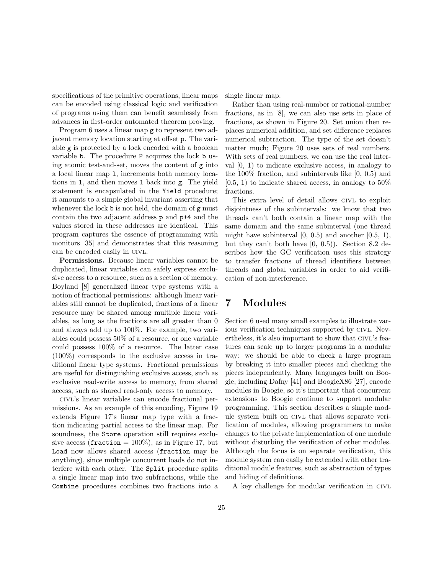specifications of the primitive operations, linear maps can be encoded using classical logic and verification of programs using them can benefit seamlessly from advances in first-order automated theorem proving.

Program 6 uses a linear map g to represent two adjacent memory location starting at offset p. The variable g is protected by a lock encoded with a boolean variable b. The procedure P acquires the lock b using atomic test-and-set, moves the content of g into a local linear map l, increments both memory locations in l, and then moves l back into g. The yield statement is encapsulated in the Yield procedure; it amounts to a simple global invariant asserting that whenever the lock **b** is not held, the domain of **g** must contain the two adjacent address p and p+4 and the values stored in these addresses are identical. This program captures the essence of programming with monitors [35] and demonstrates that this reasoning can be encoded easily in CIVL.

Permissions. Because linear variables cannot be duplicated, linear variables can safely express exclusive access to a resource, such as a section of memory. Boyland [8] generalized linear type systems with a notion of fractional permissions: although linear variables still cannot be duplicated, fractions of a linear resource may be shared among multiple linear variables, as long as the fractions are all greater than 0 and always add up to 100%. For example, two variables could possess 50% of a resource, or one variable could possess 100% of a resource. The latter case (100%) corresponds to the exclusive access in traditional linear type systems. Fractional permissions are useful for distinguishing exclusive access, such as exclusive read-write access to memory, from shared access, such as shared read-only access to memory.

civl's linear variables can encode fractional permissions. As an example of this encoding, Figure 19 extends Figure 17's linear map type with a fraction indicating partial access to the linear map. For soundness, the Store operation still requires exclusive access (fraction =  $100\%$ ), as in Figure 17, but Load now allows shared access (fraction may be anything), since multiple concurrent loads do not interfere with each other. The Split procedure splits a single linear map into two subfractions, while the Combine procedures combines two fractions into a single linear map.

Rather than using real-number or rational-number fractions, as in [8], we can also use sets in place of fractions, as shown in Figure 20. Set union then replaces numerical addition, and set difference replaces numerical subtraction. The type of the set doesn't matter much; Figure 20 uses sets of real numbers. With sets of real numbers, we can use the real interval [0, 1) to indicate exclusive access, in analogy to the 100% fraction, and subintervals like [0, 0.5) and  $[0.5, 1)$  to indicate shared access, in analogy to  $50\%$ fractions.

This extra level of detail allows CIVL to exploit disjointness of the subintervals: we know that two threads can't both contain a linear map with the same domain and the same subinterval (one thread might have subinterval  $[0, 0.5)$  and another  $[0.5, 1)$ , but they can't both have [0, 0.5)). Section 8.2 describes how the GC verification uses this strategy to transfer fractions of thread identifiers between threads and global variables in order to aid verification of non-interference.

## 7 Modules

Section 6 used many small examples to illustrate various verification techniques supported by CIVL. Nevertheless, it's also important to show that CIVL's features can scale up to larger programs in a modular way: we should be able to check a large program by breaking it into smaller pieces and checking the pieces independently. Many languages built on Boogie, including Dafny [41] and BoogieX86 [27], encode modules in Boogie, so it's important that concurrent extensions to Boogie continue to support modular programming. This section describes a simple module system built on CIVL that allows separate verification of modules, allowing programmers to make changes to the private implementation of one module without disturbing the verification of other modules. Although the focus is on separate verification, this module system can easily be extended with other traditional module features, such as abstraction of types and hiding of definitions.

A key challenge for modular verification in civl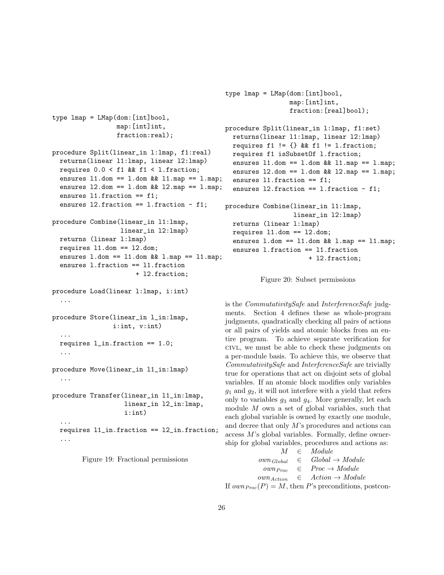```
type lmap = LMap(dom:[int]bool,
                 map:[int]int,
                 fraction:real);
procedure Split(linear_in l:lmap, f1:real)
  returns(linear l1:lmap, linear l2:lmap)
  requires 0.0 < f1 && f1 < 1. fraction;
  ensures 11.dom == 1.dom & 11.map == 1.map;ensures 12. dom == 1. dom k\& 12.png == 1.png;
  ensures l1.fraction == f1;
  ensures 12. fraction == 1. fraction - f1;
procedure Combine(linear_in l1:lmap,
                  linear_in l2:lmap)
  returns (linear l:lmap)
  requires 11.dom == 12.dom;ensures 1. dom == 11. dom kk 1. map == 11. map;
  ensures l.fraction == l1.fraction
                       + l2.fraction;
procedure Load(linear l:lmap, i:int)
  ...
procedure Store(linear_in l_in:lmap,
                i:int, v:int)
  ...
  requires l_in.fraction == 1.0;
  ...
procedure Move(linear_in l1_in:lmap)
  ...
procedure Transfer(linear_in l1_in:lmap,
                   linear_in l2_in:lmap,
                    i:int)
  ...
  requires l1_in.fraction == l2_in.fraction;
  ...
```

```
map:[int]int,
                 fraction:[real]bool);
procedure Split(linear_in l:lmap, f1:set)
  returns(linear l1:lmap, linear l2:lmap)
  requires f1 := \{\} && f1 := 1. fraction;
  requires f1 isSubsetOf l.fraction;
  ensures 11. dom == 1. dom && 11. map == 1. map;
  ensures 12. dom == 1. dom & 12. map == 1. map;
  ensures l1.fraction == f1;
  ensures l2.fraction == l.fraction - f1;
procedure Combine(linear_in l1:lmap,
                  linear_in l2:lmap)
  returns (linear l:lmap)
  requires 11.dom == 12.dom;ensures 1. dom == 11. dom & 1. map == 11. map;
  ensures l.fraction == l1.fraction
                       + l2.fraction;
```
type lmap = LMap(dom:[int]bool,

Figure 20: Subset permissions

is the *CommutativitySafe* and *InterferenceSafe* judgments. Section 4 defines these as whole-program judgments, quadratically checking all pairs of actions or all pairs of yields and atomic blocks from an entire program. To achieve separate verification for civl, we must be able to check these judgments on a per-module basis. To achieve this, we observe that *CommutativitySafe* and *InterferenceSafe* are trivially true for operations that act on disjoint sets of global variables. If an atomic block modifies only variables *g*<sup>1</sup> and *g*2, it will not interfere with a yield that refers only to variables *g*<sup>3</sup> and *g*4. More generally, let each module *M* own a set of global variables, such that each global variable is owned by exactly one module, and decree that only *M*'s procedures and actions can access *M*'s global variables. Formally, define ownership for global variables, procedures and actions as:

```
\begin{array}{rclcl} M & \in & \textit{Module} \\ \textit{own}_{\textit{Global}} & \in & \textit{Global} \end{array}w n_{Global} \in Global \rightarrow Module<br>
own_{Proc} \in Proc \rightarrow Moduleown_{Proc} \in Proc \rightarrow Module<br>
own_{Action} \in Action \rightarrow Module\in Action \rightarrow Module
If own_{Proc}(P) = M, then P's preconditions, postcon-
```

```
Figure 19: Fractional permissions
```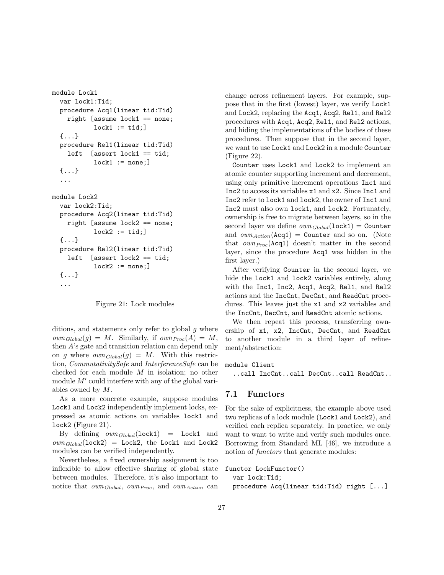```
module Lock1
  var lock1:Tid;
  procedure Acq1(linear tid:Tid)
   right [assume lock1 == none;
           lock1 := tid;{...}
  procedure Rel1(linear tid:Tid)
   left [assert lock1 == tid;
           lock1 := none;{...}
  ...
```

```
module Lock2
  var lock2:Tid;
  procedure Acq2(linear tid:Tid)
   right [assume lock2 == none;
           lock2 := tid;{...}
  procedure Rel2(linear tid:Tid)
   left [assert lock2 == tid;
           lock2 := none;{...}
  ...
```


ditions, and statements only refer to global *g* where  $own_{Global}(g) = M$ . Similarly, if  $own_{Proc}(A) = M$ , then *A*'s gate and transition relation can depend only on *g* where  $own_{Global}(g) = M$ . With this restriction, *CommutativitySafe* and *InterferenceSafe* can be checked for each module *M* in isolation; no other module  $M'$  could interfere with any of the global variables owned by *M*.

As a more concrete example, suppose modules Lock1 and Lock2 independently implement locks, expressed as atomic actions on variables lock1 and lock2 (Figure 21).

By defining *ownGlobal*(lock1) = Lock1 and  $own_{Global}(lock2) = Lock2$ , the Lock1 and Lock2 modules can be verified independently.

Nevertheless, a fixed ownership assignment is too inflexible to allow effective sharing of global state between modules. Therefore, it's also important to notice that *ownGlobal* , *ownProc*, and *ownAction* can

change across refinement layers. For example, suppose that in the first (lowest) layer, we verify Lock1 and Lock2, replacing the Acq1, Acq2, Rel1, and Rel2 procedures with Acq1, Acq2, Rel1, and Rel2 actions, and hiding the implementations of the bodies of these procedures. Then suppose that in the second layer, we want to use Lock1 and Lock2 in a module Counter (Figure 22).

Counter uses Lock1 and Lock2 to implement an atomic counter supporting increment and decrement, using only primitive increment operations Inc1 and Inc2 to access its variables x1 and x2. Since Inc1 and Inc2 refer to lock1 and lock2, the owner of Inc1 and Inc2 must also own lock1, and lock2. Fortunately, ownership is free to migrate between layers, so in the second layer we define  $own_{Global}(\texttt{lock1}) = \texttt{Counter}$ and  $own_{Action}(\text{Acq1}) = \text{Counter}$  and so on. (Note that *ownProc*(Acq1) doesn't matter in the second layer, since the procedure Acq1 was hidden in the first layer.)

After verifying Counter in the second layer, we hide the lock1 and lock2 variables entirely, along with the Inc1, Inc2, Acq1, Acq2, Rel1, and Rel2 actions and the IncCnt, DecCnt, and ReadCnt procedures. This leaves just the x1 and x2 variables and the IncCnt, DecCnt, and ReadCnt atomic actions.

We then repeat this process, transferring ownership of x1, x2, IncCnt, DecCnt, and ReadCnt to another module in a third layer of refinement/abstraction:

module Client

..call IncCnt..call DecCnt..call ReadCnt..

### 7.1 Functors

For the sake of explicitness, the example above used two replicas of a lock module (Lock1 and Lock2), and verified each replica separately. In practice, we only want to want to write and verify such modules once. Borrowing from Standard ML [46], we introduce a notion of *functors* that generate modules:

```
functor LockFunctor()
  var lock:Tid;
  procedure Acq(linear tid:Tid) right [...]
```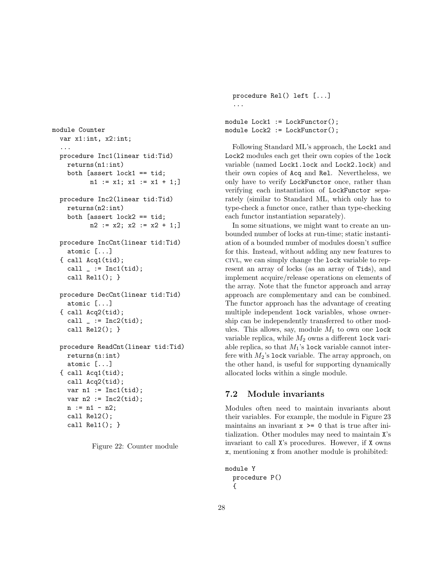```
module Counter
  var x1:int, x2:int;
  ...
  procedure Inc1(linear tid:Tid)
   returns(n1:int)
   both [assert lock1 == tid;
          n1 := x1; x1 := x1 + 1;procedure Inc2(linear tid:Tid)
   returns(n2:int)
   both [assert lock2 == tid;n2 := x2; x2 := x2 + 1;procedure IncCnt(linear tid:Tid)
    atomic [...]
  { call Acq1(tid);
   call = := Inc1(tid);
    call Rel1(); }
  procedure DecCnt(linear tid:Tid)
    atomic [...]
  { call Acq2(tid);
    call = := Inc2(tid);
    call Rel2(); }
  procedure ReadCnt(linear tid:Tid)
   returns(n:int)
    atomic [...]
  \{ call Acq1(tid);
   call Acq2(tid);
   var n1 := Inc1(tid);var n2 := Inc2(tid);n := n1 - n2;call Rel2();
    call Rel1(); }
```
Figure 22: Counter module

procedure Rel() left [...] ... module Lock1 := LockFunctor(); module Lock2 := LockFunctor();

Following Standard ML's approach, the Lock1 and Lock2 modules each get their own copies of the lock variable (named Lock1.lock and Lock2.lock) and their own copies of Acq and Rel. Nevertheless, we only have to verify LockFunctor once, rather than verifying each instantiation of LockFunctor separately (similar to Standard ML, which only has to type-check a functor once, rather than type-checking each functor instantiation separately).

In some situations, we might want to create an unbounded number of locks at run-time; static instantiation of a bounded number of modules doesn't suffice for this. Instead, without adding any new features to civl, we can simply change the lock variable to represent an array of locks (as an array of Tids), and implement acquire/release operations on elements of the array. Note that the functor approach and array approach are complementary and can be combined. The functor approach has the advantage of creating multiple independent lock variables, whose ownership can be independently transferred to other modules. This allows, say, module  $M_1$  to own one lock variable replica, while  $M_2$  owns a different lock variable replica, so that  $M_1$ 's lock variable cannot interfere with *M*2's lock variable. The array approach, on the other hand, is useful for supporting dynamically allocated locks within a single module.

### 7.2 Module invariants

Modules often need to maintain invariants about their variables. For example, the module in Figure 23 maintains an invariant  $x \ge 0$  that is true after initialization. Other modules may need to maintain X's invariant to call X's procedures. However, if X owns x, mentioning x from another module is prohibited:

module Y procedure P() {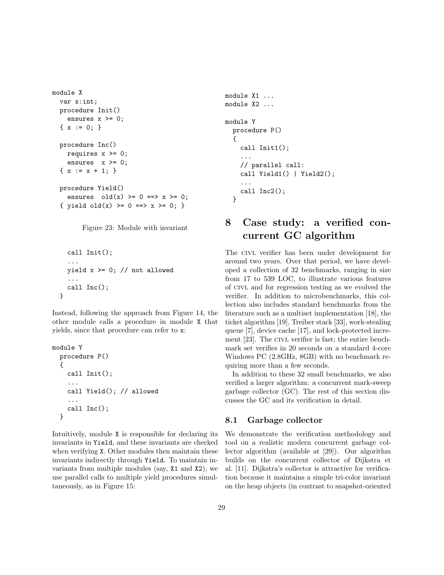```
module X
  var x:int;
  procedure Init()
    ensures x \ge 0;
  {x := 0; }procedure Inc()
    requires x \ge 0;
    ensures x \ge 0;
  \{ x := x + 1; \}procedure Yield()
    ensures old(x) >= 0 == x >= 0;
  { yield old(x) >= 0 ==> x >= 0; }
```
Figure 23: Module with invariant

```
call Init();
...
yield x \ge 0; // not allowed
...
call Inc();
```
Instead, following the approach from Figure 14, the other module calls a procedure in module X that yields, since that procedure can refer to x:

```
module Y
  procedure P()
  {
    call Init();
    ...
    call Yield(); // allowed
    ...
    call Inc();
  }
```
}

Intuitively, module X is responsible for declaring its invariants in Yield, and these invariants are checked when verifying X. Other modules then maintain these invariants indirectly through Yield. To maintain invariants from multiple modules (say, X1 and X2), we use parallel calls to multiple yield procedures simultaneously, as in Figure 15:

```
module X1 ...
module X2 ...
module Y
  procedure P()
  {
    call Init1();
    ...
    // parallel call:
    call Yield1() | Yield2();
    ...
    call Inc2();
  }
```
## 8 Case study: a verified concurrent GC algorithm

The CIVL verifier has been under development for around two years. Over that period, we have developed a collection of 32 benchmarks, ranging in size from 17 to 539 LOC, to illustrate various features of civl and for regression testing as we evolved the verifier. In addition to microbenchmarks, this collection also includes standard benchmarks from the literature such as a multiset implementation [18], the ticket algorithm [19], Treiber stack [33], work-stealing queue [7], device cache [17], and lock-protected increment [23]. The CIVL verifier is fast; the entire benchmark set verifies in 20 seconds on a standard 4-core Windows PC (2.8GHz, 8GB) with no benchmark requiring more than a few seconds.

In addition to these 32 small benchmarks, we also verified a larger algorithm: a concurrent mark-sweep garbage collector (GC). The rest of this section discusses the GC and its verification in detail.

### 8.1 Garbage collector

We demonstrate the verification methodology and tool on a realistic modern concurrent garbage collector algorithm (available at [29]). Our algorithm builds on the concurrent collector of Dijkstra et al. [11]. Dijkstra's collector is attractive for verification because it maintains a simple tri-color invariant on the heap objects (in contrast to snapshot-oriented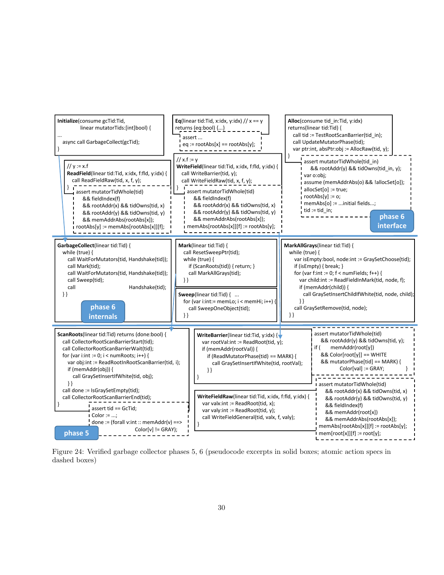

Figure 24: Verified garbage collector phases 5, 6 (pseudocode excerpts in solid boxes; atomic action specs in dashed boxes)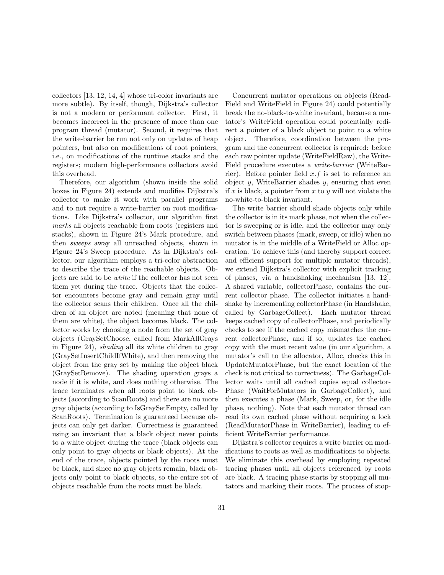collectors [13, 12, 14, 4] whose tri-color invariants are more subtle). By itself, though, Dijkstra's collector is not a modern or performant collector. First, it becomes incorrect in the presence of more than one program thread (mutator). Second, it requires that the write-barrier be run not only on updates of heap pointers, but also on modifications of root pointers, i.e., on modifications of the runtime stacks and the registers; modern high-performance collectors avoid this overhead.

Therefore, our algorithm (shown inside the solid boxes in Figure 24) extends and modifies Dijkstra's collector to make it work with parallel programs and to not require a write-barrier on root modifications. Like Dijkstra's collector, our algorithm first *marks* all objects reachable from roots (registers and stacks), shown in Figure 24's Mark procedure, and then *sweeps* away all unreached objects, shown in Figure 24's Sweep procedure. As in Dijkstra's collector, our algorithm employs a tri-color abstraction to describe the trace of the reachable objects. Objects are said to be *white* if the collector has not seen them yet during the trace. Objects that the collector encounters become gray and remain gray until the collector scans their children. Once all the children of an object are noted (meaning that none of them are white), the object becomes black. The collector works by choosing a node from the set of gray objects (GraySetChoose, called from MarkAllGrays in Figure 24), *shading* all its white children to gray (GraySetInsertChildIfWhite), and then removing the object from the gray set by making the object black (GraySetRemove). The shading operation grays a node if it is white, and does nothing otherwise. The trace terminates when all roots point to black objects (according to ScanRoots) and there are no more gray objects (according to IsGraySetEmpty, called by ScanRoots). Termination is guaranteed because objects can only get darker. Correctness is guaranteed using an invariant that a black object never points to a white object during the trace (black objects can only point to gray objects or black objects). At the end of the trace, objects pointed by the roots must be black, and since no gray objects remain, black objects only point to black objects, so the entire set of objects reachable from the roots must be black.

Concurrent mutator operations on objects (Read-Field and WriteField in Figure 24) could potentially break the no-black-to-white invariant, because a mutator's WriteField operation could potentially redirect a pointer of a black object to point to a white object. Therefore, coordination between the program and the concurrent collector is required: before each raw pointer update (WriteFieldRaw), the Write-Field procedure executes a *write-barrier* (WriteBarrier). Before pointer field *x.f* is set to reference an object *y*, WriteBarrier shades *y*, ensuring that even if *x* is black, a pointer from *x* to *y* will not violate the no-white-to-black invariant.

The write barrier should shade objects only while the collector is in its mark phase, not when the collector is sweeping or is idle, and the collector may only switch between phases (mark, sweep, or idle) when no mutator is in the middle of a WriteField or Alloc operation. To achieve this (and thereby support correct and efficient support for multiple mutator threads), we extend Dijkstra's collector with explicit tracking of phases, via a handshaking mechanism [13, 12]. A shared variable, collectorPhase, contains the current collector phase. The collector initiates a handshake by incrementing collectorPhase (in Handshake, called by GarbageCollect). Each mutator thread keeps cached copy of collectorPhase, and periodically checks to see if the cached copy mismatches the current collectorPhase, and if so, updates the cached copy with the most recent value (in our algorithm, a mutator's call to the allocator, Alloc, checks this in UpdateMutatorPhase, but the exact location of the check is not critical to correctness). The GarbageCollector waits until all cached copies equal collector-Phase (WaitForMutators in GarbageCollect), and then executes a phase (Mark, Sweep, or, for the idle phase, nothing). Note that each mutator thread can read its own cached phase without acquiring a lock (ReadMutatorPhase in WriteBarrier), leading to efficient WriteBarrier performance.

Dijkstra's collector requires a write barrier on modifications to roots as well as modifications to objects. We eliminate this overhead by employing repeated tracing phases until all objects referenced by roots are black. A tracing phase starts by stopping all mutators and marking their roots. The process of stop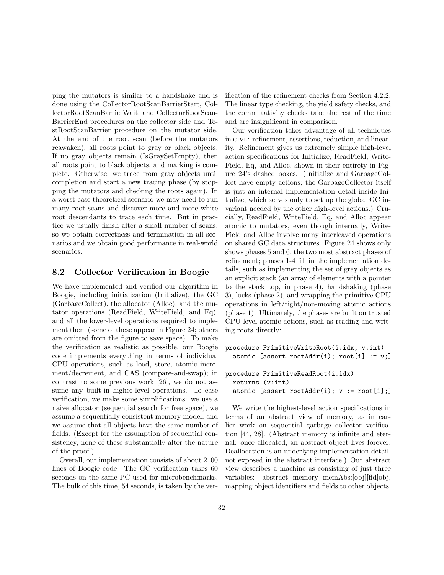ping the mutators is similar to a handshake and is done using the CollectorRootScanBarrierStart, CollectorRootScanBarrierWait, and CollectorRootScan-BarrierEnd procedures on the collector side and TestRootScanBarrier procedure on the mutator side. At the end of the root scan (before the mutators reawaken), all roots point to gray or black objects. If no gray objects remain (IsGraySetEmpty), then all roots point to black objects, and marking is complete. Otherwise, we trace from gray objects until completion and start a new tracing phase (by stopping the mutators and checking the roots again). In a worst-case theoretical scenario we may need to run many root scans and discover more and more white root descendants to trace each time. But in practice we usually finish after a small number of scans, so we obtain correctness and termination in all scenarios and we obtain good performance in real-world scenarios.

### 8.2 Collector Verification in Boogie

We have implemented and verified our algorithm in Boogie, including initialization (Initialize), the GC (GarbageCollect), the allocator (Alloc), and the mutator operations (ReadField, WriteField, and Eq), and all the lower-level operations required to implement them (some of these appear in Figure 24; others are omitted from the figure to save space). To make the verification as realistic as possible, our Boogie code implements everything in terms of individual CPU operations, such as load, store, atomic increment/decrement, and CAS (compare-and-swap); in contrast to some previous work [26], we do not assume any built-in higher-level operations. To ease verification, we make some simplifications: we use a naive allocator (sequential search for free space), we assume a sequentially consistent memory model, and we assume that all objects have the same number of fields. (Except for the assumption of sequential consistency, none of these substantially alter the nature of the proof.)

Overall, our implementation consists of about 2100 lines of Boogie code. The GC verification takes 60 seconds on the same PC used for microbenchmarks. The bulk of this time, 54 seconds, is taken by the verification of the refinement checks from Section 4.2.2. The linear type checking, the yield safety checks, and the commutativity checks take the rest of the time and are insignificant in comparison.

Our verification takes advantage of all techniques in CIVL: refinement, assertions, reduction, and linearity. Refinement gives us extremely simple high-level action specifications for Initialize, ReadField, Write-Field, Eq, and Alloc, shown in their entirety in Figure 24's dashed boxes. (Initialize and GarbageCollect have empty actions; the GarbageCollector itself is just an internal implementation detail inside Initialize, which serves only to set up the global GC invariant needed by the other high-level actions.) Crucially, ReadField, WriteField, Eq, and Alloc appear atomic to mutators, even though internally, Write-Field and Alloc involve many interleaved operations on shared GC data structures. Figure 24 shows only shows phases 5 and 6, the two most abstract phases of refinement; phases 1-4 fill in the implementation details, such as implementing the set of gray objects as an explicit stack (an array of elements with a pointer to the stack top, in phase 4), handshaking (phase 3), locks (phase 2), and wrapping the primitive CPU operations in left/right/non-moving atomic actions (phase 1). Ultimately, the phases are built on trusted CPU-level atomic actions, such as reading and writing roots directly:

```
procedure PrimitiveWriteRoot(i:idx, v:int)
  atomic [assert rootAddr(i); root[i] := v;]
```

```
procedure PrimitiveReadRoot(i:idx)
  returns (v:int)
  atomic [assert rootAddr(i); v := root[i];]
```
We write the highest-level action specifications in terms of an abstract view of memory, as in earlier work on sequential garbage collector verification [44, 28]. (Abstract memory is infinite and eternal: once allocated, an abstract object lives forever. Deallocation is an underlying implementation detail, not exposed in the abstract interface.) Our abstract view describes a machine as consisting of just three variables: abstract memory memAbs:[obj][fld]obj, mapping object identifiers and fields to other objects,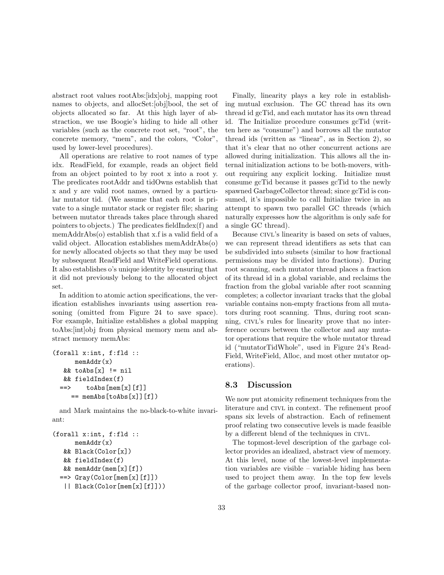abstract root values rootAbs:[idx]obj, mapping root names to objects, and allocSet:[obj]bool, the set of objects allocated so far. At this high layer of abstraction, we use Boogie's hiding to hide all other variables (such as the concrete root set, "root", the concrete memory, "mem", and the colors, "Color", used by lower-level procedures).

All operations are relative to root names of type idx. ReadField, for example, reads an object field from an object pointed to by root x into a root y. The predicates rootAddr and tidOwns establish that x and y are valid root names, owned by a particular mutator tid. (We assume that each root is private to a single mutator stack or register file; sharing between mutator threads takes place through shared pointers to objects.) The predicates fieldIndex(f) and memAddrAbs(o) establish that x.f is a valid field of a valid object. Allocation establishes memAddrAbs(o) for newly allocated objects so that they may be used by subsequent ReadField and WriteField operations. It also establishes o's unique identity by ensuring that it did not previously belong to the allocated object set.

In addition to atomic action specifications, the verification establishes invariants using assertion reasoning (omitted from Figure 24 to save space). For example, Initialize establishes a global mapping toAbs:[int]obj from physical memory mem and abstract memory memAbs:

```
(forall x:int, f:fld ::
      memAddr(x)
   & to Abs [x] != nil
   && fieldIndex(f)
  \Rightarrow to Abs [\text{mem}[x][f]]== memAbs [toAbs[x]][f])
```
and Mark maintains the no-black-to-white invariant:

```
(forall x:int, f:fld ::
      memAddr(x)
   && Black(Color[x])
   && fieldIndex(f)
   && memAddr(mem[x][f])
 \Rightarrow Gray(Color[mem[x][f]])
   || Black(Color[mem[x][f]]))
```
Finally, linearity plays a key role in establishing mutual exclusion. The GC thread has its own thread id gcTid, and each mutator has its own thread id. The Initialize procedure consumes gcTid (written here as "consume") and borrows all the mutator thread ids (written as "linear", as in Section 2), so that it's clear that no other concurrent actions are allowed during initialization. This allows all the internal initialization actions to be both-movers, without requiring any explicit locking. Initialize must consume gcTid because it passes gcTid to the newly spawned GarbageCollector thread; since gcTid is consumed, it's impossible to call Initialize twice in an attempt to spawn two parallel GC threads (which naturally expresses how the algorithm is only safe for a single GC thread).

Because CIVL's linearity is based on sets of values, we can represent thread identifiers as sets that can be subdivided into subsets (similar to how fractional permissions may be divided into fractions). During root scanning, each mutator thread places a fraction of its thread id in a global variable, and reclaims the fraction from the global variable after root scanning completes; a collector invariant tracks that the global variable contains non-empty fractions from all mutators during root scanning. Thus, during root scanning, CIVL's rules for linearity prove that no interference occurs between the collector and any mutator operations that require the whole mutator thread id ("mutatorTidWhole", used in Figure 24's Read-Field, WriteField, Alloc, and most other mutator operations).

### 8.3 Discussion

We now put atomicity refinement techniques from the literature and CIVL in context. The refinement proof spans six levels of abstraction. Each of refinement proof relating two consecutive levels is made feasible by a different blend of the techniques in CIVL.

The topmost-level description of the garbage collector provides an idealized, abstract view of memory. At this level, none of the lowest-level implementation variables are visible – variable hiding has been used to project them away. In the top few levels of the garbage collector proof, invariant-based non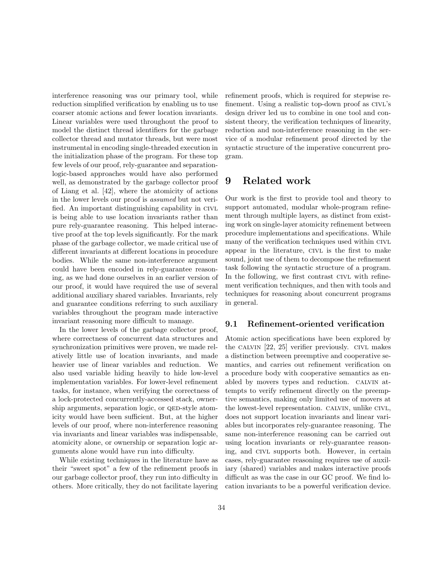interference reasoning was our primary tool, while reduction simplified verification by enabling us to use coarser atomic actions and fewer location invariants. Linear variables were used throughout the proof to model the distinct thread identifiers for the garbage collector thread and mutator threads, but were most instrumental in encoding single-threaded execution in the initialization phase of the program. For these top few levels of our proof, rely-guarantee and separationlogic-based approaches would have also performed well, as demonstrated by the garbage collector proof of Liang et al. [42], where the atomicity of actions in the lower levels our proof is *assumed* but not verified. An important distinguishing capability in CIVL is being able to use location invariants rather than pure rely-guarantee reasoning. This helped interactive proof at the top levels significantly. For the mark phase of the garbage collector, we made critical use of different invariants at different locations in procedure bodies. While the same non-interference argument could have been encoded in rely-guarantee reasoning, as we had done ourselves in an earlier version of our proof, it would have required the use of several additional auxiliary shared variables. Invariants, rely and guarantee conditions referring to such auxiliary variables throughout the program made interactive invariant reasoning more difficult to manage.

In the lower levels of the garbage collector proof, where correctness of concurrent data structures and synchronization primitives were proven, we made relatively little use of location invariants, and made heavier use of linear variables and reduction. We also used variable hiding heavily to hide low-level implementation variables. For lower-level refinement tasks, for instance, when verifying the correctness of a lock-protected concurrently-accessed stack, ownership arguments, separation logic, or QED-style atomicity would have been sufficient. But, at the higher levels of our proof, where non-interference reasoning via invariants and linear variables was indispensable, atomicity alone, or ownership or separation logic arguments alone would have run into difficulty.

While existing techniques in the literature have as their "sweet spot" a few of the refinement proofs in our garbage collector proof, they run into difficulty in others. More critically, they do not facilitate layering refinement proofs, which is required for stepwise refinement. Using a realistic top-down proof as CIVL's design driver led us to combine in one tool and consistent theory, the verification techniques of linearity, reduction and non-interference reasoning in the service of a modular refinement proof directed by the syntactic structure of the imperative concurrent program.

## 9 Related work

Our work is the first to provide tool and theory to support automated, modular whole-program refinement through multiple layers, as distinct from existing work on single-layer atomicity refinement between procedure implementations and specifications. While many of the verification techniques used within CIVL appear in the literature, CIVL is the first to make sound, joint use of them to decompose the refinement task following the syntactic structure of a program. In the following, we first contrast CIVL with refinement verification techniques, and then with tools and techniques for reasoning about concurrent programs in general.

### 9.1 Refinement-oriented verification

Atomic action specifications have been explored by the CALVIN  $[22, 25]$  verifier previously. CIVL makes a distinction between preemptive and cooperative semantics, and carries out refinement verification on a procedure body with cooperative semantics as enabled by movers types and reduction. calvin attempts to verify refinement directly on the preemptive semantics, making only limited use of movers at the lowest-level representation. CALVIN, unlike CIVL, does not support location invariants and linear variables but incorporates rely-guarantee reasoning. The same non-interference reasoning can be carried out using location invariants or rely-guarantee reasoning, and CIVL supports both. However, in certain cases, rely-guarantee reasoning requires use of auxiliary (shared) variables and makes interactive proofs difficult as was the case in our GC proof. We find location invariants to be a powerful verification device.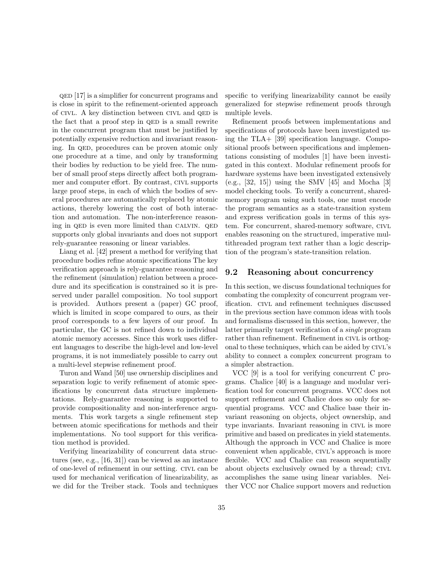qed [17] is a simplifier for concurrent programs and is close in spirit to the refinement-oriented approach of CIVL. A key distinction between CIVL and QED is the fact that a proof step in QED is a small rewrite in the concurrent program that must be justified by potentially expensive reduction and invariant reasoning. In QED, procedures can be proven atomic only one procedure at a time, and only by transforming their bodies by reduction to be yield free. The number of small proof steps directly affect both programmer and computer effort. By contrast, CIVL supports large proof steps, in each of which the bodies of several procedures are automatically replaced by atomic actions, thereby lowering the cost of both interaction and automation. The non-interference reasoning in QED is even more limited than CALVIN. QED supports only global invariants and does not support rely-guarantee reasoning or linear variables.

Liang et al. [42] present a method for verifying that procedure bodies refine atomic specifications The key verification approach is rely-guarantee reasoning and the refinement (simulation) relation between a procedure and its specification is constrained so it is preserved under parallel composition. No tool support is provided. Authors present a (paper) GC proof, which is limited in scope compared to ours, as their proof corresponds to a few layers of our proof. In particular, the GC is not refined down to individual atomic memory accesses. Since this work uses different languages to describe the high-level and low-level programs, it is not immediately possible to carry out a multi-level stepwise refinement proof.

Turon and Wand [50] use ownership disciplines and separation logic to verify refinement of atomic specifications by concurrent data structure implementations. Rely-guarantee reasoning is supported to provide compositionality and non-interference arguments. This work targets a single refinement step between atomic specifications for methods and their implementations. No tool support for this verification method is provided.

Verifying linearizability of concurrent data structures (see, e.g., [16, 31]) can be viewed as an instance of one-level of refinement in our setting. civl can be used for mechanical verification of linearizability, as we did for the Treiber stack. Tools and techniques specific to verifying linearizability cannot be easily generalized for stepwise refinement proofs through multiple levels.

Refinement proofs between implementations and specifications of protocols have been investigated using the TLA+ [39] specification language. Compositional proofs between specifications and implementations consisting of modules [1] have been investigated in this context. Modular refinement proofs for hardware systems have been investigated extensively  $(e.g., [32, 15])$  using the SMV [45] and Mocha [3] model checking tools. To verify a concurrent, sharedmemory program using such tools, one must encode the program semantics as a state-transition system and express verification goals in terms of this system. For concurrent, shared-memory software, CIVL enables reasoning on the structured, imperative multithreaded program text rather than a logic description of the program's state-transition relation.

### 9.2 Reasoning about concurrency

In this section, we discuss foundational techniques for combating the complexity of concurrent program verification. CIVL and refinement techniques discussed in the previous section have common ideas with tools and formalisms discussed in this section, however, the latter primarily target verification of a *single* program rather than refinement. Refinement in CIVL is orthogonal to these techniques, which can be aided by CIVL's ability to connect a complex concurrent program to a simpler abstraction.

VCC [9] is a tool for verifying concurrent C programs. Chalice [40] is a language and modular verification tool for concurrent programs. VCC does not support refinement and Chalice does so only for sequential programs. VCC and Chalice base their invariant reasoning on objects, object ownership, and type invariants. Invariant reasoning in CIVL is more primitive and based on predicates in yield statements. Although the approach in VCC and Chalice is more convenient when applicable, CIVL's approach is more flexible. VCC and Chalice can reason sequentially about objects exclusively owned by a thread; CIVL accomplishes the same using linear variables. Neither VCC nor Chalice support movers and reduction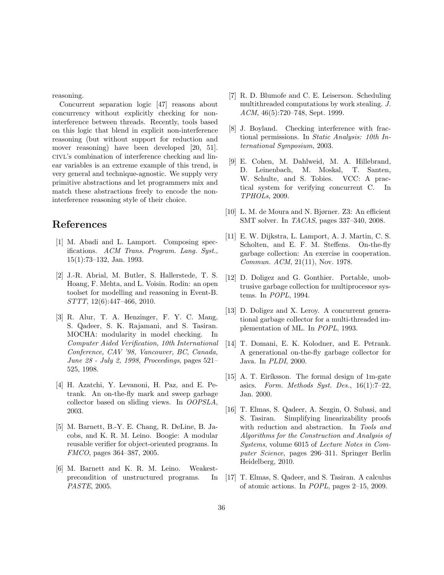reasoning.

Concurrent separation logic [47] reasons about concurrency without explicitly checking for noninterference between threads. Recently, tools based on this logic that blend in explicit non-interference reasoning (but without support for reduction and mover reasoning) have been developed [20, 51]. civl's combination of interference checking and linear variables is an extreme example of this trend, is very general and technique-agnostic. We supply very primitive abstractions and let programmers mix and match these abstractions freely to encode the noninterference reasoning style of their choice.

## References

- [1] M. Abadi and L. Lamport. Composing specifications. *ACM Trans. Program. Lang. Syst.*, 15(1):73–132, Jan. 1993.
- [2] J.-R. Abrial, M. Butler, S. Hallerstede, T. S. Hoang, F. Mehta, and L. Voisin. Rodin: an open toolset for modelling and reasoning in Event-B. *STTT*, 12(6):447–466, 2010.
- [3] R. Alur, T. A. Henzinger, F. Y. C. Mang, S. Qadeer, S. K. Rajamani, and S. Tasiran. MOCHA: modularity in model checking. In *Computer Aided Verification, 10th International Conference, CAV '98, Vancouver, BC, Canada, June 28 - July 2, 1998, Proceedings*, pages 521– 525, 1998.
- [4] H. Azatchi, Y. Levanoni, H. Paz, and E. Petrank. An on-the-fly mark and sweep garbage collector based on sliding views. In *OOPSLA*, 2003.
- [5] M. Barnett, B.-Y. E. Chang, R. DeLine, B. Jacobs, and K. R. M. Leino. Boogie: A modular reusable verifier for object-oriented programs. In *FMCO*, pages 364–387, 2005.
- [6] M. Barnett and K. R. M. Leino. Weakestprecondition of unstructured programs. In *PASTE*, 2005.
- [7] R. D. Blumofe and C. E. Leiserson. Scheduling multithreaded computations by work stealing. *J. ACM*, 46(5):720–748, Sept. 1999.
- [8] J. Boyland. Checking interference with fractional permissions. In *Static Analysis: 10th International Symposium*, 2003.
- [9] E. Cohen, M. Dahlweid, M. A. Hillebrand, D. Leinenbach, M. Moskal, T. Santen, W. Schulte, and S. Tobies. VCC: A practical system for verifying concurrent C. In *TPHOLs*, 2009.
- [10] L. M. de Moura and N. Bjørner. Z3: An efficient SMT solver. In *TACAS*, pages 337–340, 2008.
- [11] E. W. Dijkstra, L. Lamport, A. J. Martin, C. S. Scholten, and E. F. M. Steffens. On-the-fly garbage collection: An exercise in cooperation. *Commun. ACM*, 21(11), Nov. 1978.
- [12] D. Doligez and G. Gonthier. Portable, unobtrusive garbage collection for multiprocessor systems. In *POPL*, 1994.
- [13] D. Doligez and X. Leroy. A concurrent generational garbage collector for a multi-threaded implementation of ML. In *POPL*, 1993.
- [14] T. Domani, E. K. Kolodner, and E. Petrank. A generational on-the-fly garbage collector for Java. In *PLDI*, 2000.
- [15] A. T. Eiríksson. The formal design of 1m-gate asics. *Form. Methods Syst. Des.*, 16(1):7–22, Jan. 2000.
- [16] T. Elmas, S. Qadeer, A. Sezgin, O. Subasi, and S. Tasiran. Simplifying linearizability proofs with reduction and abstraction. In *Tools and Algorithms for the Construction and Analysis of Systems*, volume 6015 of *Lecture Notes in Computer Science*, pages 296–311. Springer Berlin Heidelberg, 2010.
- [17] T. Elmas, S. Qadeer, and S. Tasiran. A calculus of atomic actions. In *POPL*, pages 2–15, 2009.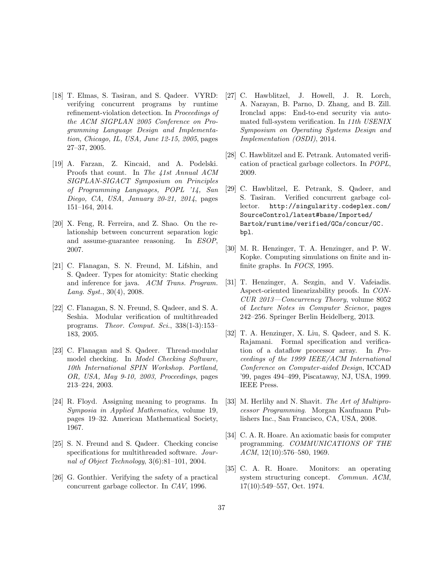- [18] T. Elmas, S. Tasiran, and S. Qadeer. VYRD: verifying concurrent programs by runtime refinement-violation detection. In *Proceedings of the ACM SIGPLAN 2005 Conference on Programming Language Design and Implementation, Chicago, IL, USA, June 12-15, 2005*, pages 27–37, 2005.
- [19] A. Farzan, Z. Kincaid, and A. Podelski. Proofs that count. In *The 41st Annual ACM SIGPLAN-SIGACT Symposium on Principles of Programming Languages, POPL '14, San Diego, CA, USA, January 20-21, 2014*, pages 151–164, 2014.
- [20] X. Feng, R. Ferreira, and Z. Shao. On the relationship between concurrent separation logic and assume-guarantee reasoning. In *ESOP*, 2007.
- [21] C. Flanagan, S. N. Freund, M. Lifshin, and S. Qadeer. Types for atomicity: Static checking and inference for java. *ACM Trans. Program. Lang. Syst.*, 30(4), 2008.
- [22] C. Flanagan, S. N. Freund, S. Qadeer, and S. A. Seshia. Modular verification of multithreaded programs. *Theor. Comput. Sci.*, 338(1-3):153– 183, 2005.
- [23] C. Flanagan and S. Qadeer. Thread-modular model checking. In *Model Checking Software, 10th International SPIN Workshop. Portland, OR, USA, May 9-10, 2003, Proceedings*, pages 213–224, 2003.
- [24] R. Floyd. Assigning meaning to programs. In *Symposia in Applied Mathematics*, volume 19, pages 19–32. American Mathematical Society, 1967.
- [25] S. N. Freund and S. Qadeer. Checking concise specifications for multithreaded software. *Journal of Object Technology*, 3(6):81–101, 2004.
- [26] G. Gonthier. Verifying the safety of a practical concurrent garbage collector. In *CAV*, 1996.
- [27] C. Hawblitzel, J. Howell, J. R. Lorch, A. Narayan, B. Parno, D. Zhang, and B. Zill. Ironclad apps: End-to-end security via automated full-system verification. In *11th USENIX Symposium on Operating Systems Design and Implementation (OSDI)*, 2014.
- [28] C. Hawblitzel and E. Petrank. Automated verification of practical garbage collectors. In *POPL*, 2009.
- [29] C. Hawblitzel, E. Petrank, S. Qadeer, and S. Tasiran. Verified concurrent garbage collector. http://singularity.codeplex.com/ SourceControl/latest#base/Imported/ Bartok/runtime/verified/GCs/concur/GC. bpl.
- [30] M. R. Henzinger, T. A. Henzinger, and P. W. Kopke. Computing simulations on finite and infinite graphs. In *FOCS*, 1995.
- [31] T. Henzinger, A. Sezgin, and V. Vafeiadis. Aspect-oriented linearizability proofs. In *CON-CUR 2013—Concurrency Theory*, volume 8052 of *Lecture Notes in Computer Science*, pages 242–256. Springer Berlin Heidelberg, 2013.
- [32] T. A. Henzinger, X. Liu, S. Qadeer, and S. K. Rajamani. Formal specification and verification of a dataflow processor array. In *Proceedings of the 1999 IEEE/ACM International Conference on Computer-aided Design*, ICCAD '99, pages 494–499, Piscataway, NJ, USA, 1999. IEEE Press.
- [33] M. Herlihy and N. Shavit. *The Art of Multiprocessor Programming*. Morgan Kaufmann Publishers Inc., San Francisco, CA, USA, 2008.
- [34] C. A. R. Hoare. An axiomatic basis for computer programming. *COMMUNICATIONS OF THE ACM*, 12(10):576–580, 1969.
- [35] C. A. R. Hoare. Monitors: an operating system structuring concept. *Commun. ACM*, 17(10):549–557, Oct. 1974.